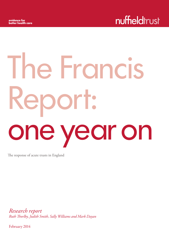# The Francis Report: one year on

The response of acute trusts in England

*Research report Ruth Thorlby, Judith Smith, Sally Williams and Mark Dayan*

February 2014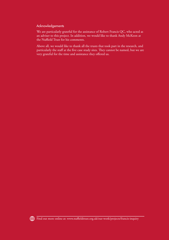# Acknowledgements

We are particularly grateful for the assistance of Robert Francis QC, who acted as an adviser to this project. In addition, we would like to thank Andy McKeon at the Nuffield Trust for his comments.

Above all, we would like to thank all the trusts that took part in the research, and particularly the staff at the five case study sites. They cannot be named, but we are very grateful for the time and assistance they offered us.

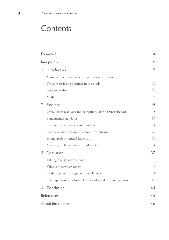# **Contents**

| Foreword        |                                                                  |    |
|-----------------|------------------------------------------------------------------|----|
| Key points      |                                                                  | 6  |
| 1. Introduction |                                                                  | 7  |
|                 | Main themes in the Francis Report for acute trusts               | 8  |
|                 | The context facing hospitals in this study                       | 10 |
|                 | Study objectives                                                 | 13 |
| Methods         |                                                                  | 13 |
| 2.<br>Findings  |                                                                  | 15 |
|                 | Overall trust reactions and perceptions of the Francis Report    | 15 |
|                 | Fundamental standards                                            | 19 |
|                 | Openness, transparency and candour                               | 24 |
|                 | Compassionate, caring and committed nursing                      | 29 |
|                 | Strong, patient-centred leadership                               | 30 |
|                 | Accurate, useful and relevant information                        | 34 |
| 3. Discussion   |                                                                  | 37 |
|                 | Valuing quality above money                                      | 38 |
|                 | Values of the wider system                                       | 40 |
|                 | Leadership and management post-Francis                           | 41 |
|                 | The implications for future health and social care configuration | 42 |
| 4. Conclusion   |                                                                  | 44 |
| References      |                                                                  | 45 |
|                 | About the authors                                                | 46 |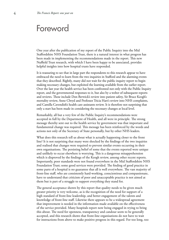# Foreword

One year after the publication of my report of the Public Inquiry into the Mid Staffordshire NHS Foundation Trust, there is a natural interest in what progress has been made in implementing the recommendations made in the report. This new Nuffield Trust research, with which I have been happy to be associated, provides helpful insights into how hospital trusts have responded.

It is reassuring to see that in large part the respondents to this research appear to have embraced the need to learn from the two inquiries in Stafford and the alarming events that they described. Rightly, many did not wait for the public inquiry report to begin making necessary changes, but exploited the learning available from the earlier report. Over the last year the health service has been confronted not only with the Public Inquiry report, and the governmental responses to it, but also by a welter of subsequent reports and reviews. These include Don Berwick's review into patient safety, Sir Bruce Keogh's mortality review, Anne Clwyd and Professor Tricia Hart's review into NHS complaints, and Camilla Cavendish's health care assistants review. It is therefore not surprising that only a start has been made in considering the necessary changes at local level.

Remarkably, all but a very few of the Public Inquiry's recommendations were accepted in full by the Department of Health, and all were in principle. The strong message thereby sent out to the health service by government was that important and fundamental change was required. This message has been reinforced by the words and actions not only of the Secretary of State personally, but by other NHS leaders.

What does this research tell us about what is actually happening closer to the front line? It is not surprising that many were shocked by the findings of the two inquiries and realised that changes were required to prevent similar events occurring in their own organisations. The persisting belief of some that the events reported were unique and unlikely to occur elsewhere is worrying. This is a dangerous misapprehension which is disproved by the findings of the Keogh review, among other recent reports. Importantly, poor standards were not found everywhere in the Mid Staffordshire NHS Foundation Trust; some good services were provided. The finding of good practice in some parts of a hospital is no guarantee that all is well everywhere. The vast majority of front-line staff, who are consistently hard-working, conscientious and compassionate, have to understand that criticism of poor and unacceptable practice is not aimed at them but is part of a struggle to support everything they stand for.

The general acceptance shown by this report that quality needs to be given much greater priority is very welcome, as is the recognition of the need for support of a high standard of front-line leadership, and better engagement of the talents and knowledge of front-line staff. Likewise there appears to be a widespread agreement that improvement is needed in the information made available on the effectiveness of the service provided. Many hospitals report now being engaged in trying to bring this about. The need for openness, transparency and candour seem to be generally accepted, and this research shows that front-line organisations do not have to wait for instructions from above to make positive progress in this regard. For too long, too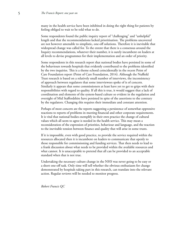many in the health service have been inhibited in doing the right thing for patients by feeling obliged to wait to be told what to do.

Some respondents found the public inquiry report of "challenging" and "unhelpful" length and that the recommendations lacked prioritisation. The problems uncovered are not however amenable to simplistic, one-off solutions. Therefore it is inevitable that widespread change was called for. To the extent that there is a consensus around the Inquiry recommendations, whatever their number, it is surely incumbent on leaders at all levels to devise programmes for their implementation and an order of priority.

Some respondents in this research report that national bodies have persisted in some of the behaviours towards hospitals that evidently contributed to the problems identified by the two inquiries. This is a theme echoed coincidentally in the recent Point of Care Foundation report (Point of Care Foundation, 2014). Although the Nuffield Trust research is based on a relatively small number of interviews, the inconsistency of approach between regulators that some interviewees spoke of is of concern. Similarly it appears that some commissioners at least have yet to get to grips with their responsibilities with regard to quality. If all this is true, it would suggest that a lack of coordination and elements of the system-based culture so evident in the regulation and oversight of Mid Staffordshire have persisted in spite of the assertions to the contrary by the regulators. Changing this requires their immediate and constant attention.

Perhaps of most concern are the reports suggesting a persistence of somewhat oppressive reactions to reports of problems in meeting financial and other corporate requirements. It is vital that national bodies exemplify in their own practice the change of cultural values which all seem to agree is needed in the health service. This may mean a reconsideration of the expression of priorities, behaviour and language, and the reaction to the inevitable tension between finance and quality that will arise in some trusts.

If it is impossible, even with good practice, to provide the service required within the resources allocated then it is incumbent on leaders to communicate that openly to those responsible for commissioning and funding services. That then needs to lead to a frank discussion about what needs to be provided within the available resources and what cannot. It is unacceptable to pretend that all can be provided to an acceptable standard when that is not true.

Undertaking the necessary culture change in the NHS was never going to be easy or a short one-off task. Only time will tell whether the obvious enthusiasm for change demonstrated by hospitals taking part in this research, can translate into the relevant action. Regular reviews will be needed to monitor progress.

*Robert Francis QC*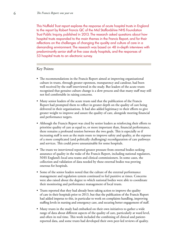This Nuffield Trust report explores the response of acute hospital trusts in England to the report by Robert Francis QC of the Mid Staffordshire NHS Foundation Trust Public Inquiry, published in 2013. The research asked questions about how hospital trusts responded to the main themes in the Francis Report, and for their reflections on the challenges of changing the quality and culture of care in a demanding environment. The research was based on 48 in-depth interviews with predominantly senior staff at five case study hospitals, and the responses of 53 hospital trusts to an electronic survey.

# Key Points:

- The recommendations in the Francis Report aimed at improving organisational culture in trusts, through greater openness, transparency and candour, had been well received by the staff interviewed in the study. But leaders of the acute trusts recognised that genuine culture change is a slow process and that many staff may still not feel comfortable in raising concerns.
- Many senior leaders of the acute trusts said that the publication of the Francis Report had prompted them to reflect in greater depth on the quality of care being delivered in their organisations. It had also added legitimacy to their efforts to give greater weight to improve and assure the quality of care, alongside meeting financial and performance targets.
- Although the Francis Report was cited by senior leaders as reinforcing their efforts to prioritise quality of care as equal to, or more important than, financial performance, there remains a profound tension between the two goals. This is especially so if increasing staff is seen as the main route to improve safety and quality, at the expense of a more complicated (and politically challenging) reconfiguration of care pathways and services. This could prove unsustainable for some hospitals.
- The trusts we interviewed reported greater pressure from external bodies seeking assurance of quality in the wake of the Francis Report, including national regulators, NHS England's local area teams and clinical commissioners. In some cases, the collection and validation of data needed by these external bodies was proving onerous for hospitals.
- Some of the senior leaders noted that the culture of the external performance management and regulation system continued to feel punitive at times. Concerns were also raised about the degree to which national bodies were able to coordinate their monitoring and performance management of local trusts.
- Trusts reported that they had already been taking action to improve the quality of care in their hospitals prior to 2013, but that the publication of the Francis Report had added impetus to this, in particular to work on complaints handling, improving staffing levels in nursing and emergency care, and securing better engagement of staff.
- Many trusts in the study had embarked on their own initiatives to gather a wide range of data about different aspects of the quality of care, particularly at ward level, and often in real time. This work included the combining of clinical and patientreported data, and some trusts had developed their own peer-led reviews of quality.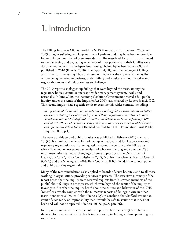# 1. Introduction

The failings in care at Mid Staffordshire NHS Foundation Trust between 2005 and 2009 brought suffering to a large number of patients and may have been responsible for an unknown number of premature deaths. The trust-level factors that contributed to the distressing and degrading experience of these patients and their families were documented in an initial independent inquiry, chaired by Robert Francis QC and published in 2010 (Francis, 2010). The report highlighted a wide range of failings across the trust, including a board focused on finance at the expense of the quality of care being delivered to patients, understaffing and a culture of poor practice and neglect that many staff felt powerless to challenge.

The 2010 report also flagged up failings that went beyond the trust, among the regulatory bodies, commissioners and wider management system, locally and nationally. In June 2010, the incoming Coalition Government ordered a full public inquiry, under the remit of the Inquiries Act 2005, also chaired by Robert Francis QC. This second inquiry had a specific remit to examine this wider context, including:

 *the operation of the commissioning, supervisory and regulatory organisations and other agencies, including the culture and systems of those organisations in relation to their monitoring role at Mid Staffordshire NHS Foundation Trust between January 2005 and March 2009 and to examine why problems at the Trust were not identified sooner; and appropriate action taken.* (The Mid Staffordshire NHS Foundation Trust Public Inquiry, 2010, p.1)

The report of this second public inquiry was published in February 2013 (Francis, 2013a). It examined the behaviour of a range of national and local supervisory and regulatory organisations and asked questions about the culture of the NHS as a whole. The final report set out an analysis of what went wrong and contained 290 recommendations aimed at changing culture and practice at the Department of Health, the Care Quality Commission (CQC), Monitor, the General Medical Council (GMC) and the Nursing and Midwifery Council (NMC), in addition to local patient and public scrutiny organisations.

Many of the recommendations also applied to boards of acute hospitals and to all those working in organisations providing services to patients. The executive summary of the report noted that the inquiry team received requests from 'distressed members of the public' about failings in other trusts, which were beyond the remit of the inquiry to investigate. But what the inquiry heard about the culture and behaviour of the NHS 'system' as a whole, coupled with the numerous reports of failings in care in other institutions since 2009, led Robert Francis QC to conclude 'that Stafford was not an event of such rarity or improbability that it would be safe to assume that it has not been and will not be repeated' (Francis, 2013a, p.25, para 76).

In his press statement at the launch of the report, Robert Francis QC emphasised the need for urgent action at all levels in the system, including all those providing care to patients: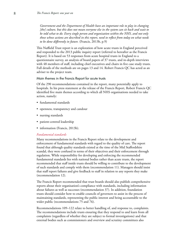*Government and the Department of Health have an important role to play in changing [the] culture, but this does not mean everyone else in the system can sit back and wait to be told what to do. Every single person and organisation within the NHS, and not only those whose actions are described in this report, need to reflect from today on what needs to be done differently in future.* (Francis, 2013b, p.9)

This Nuffield Trust report is an exploration of how acute trusts in England perceived and responded to the 2013 public inquiry report (referred to hereafter as the Francis Report). It is based on 53 responses from acute hospital trusts in England to a questionnaire survey, an analysis of board papers of 37 trusts, and in-depth interviews with 48 members of staff, including chief executives and chairs in five case study trusts. Full details of the methods are on pages 13 and 14. Robert Francis QC has acted as an adviser to the project team.

#### Main themes in the Francis Report for acute trusts

Of the 290 recommendations contained in the report, many potentially apply to hospitals. In his press statement at the release of the Francis Report, Robert Francis QC identified five main themes according to which all NHS organisations needed to take action, namely:

- fundamental standards
- openness, transparency and candour
- nursing standards
- patient-centred leadership
- information (Francis, 2013b).

## *Fundamental standards*

Many recommendations in the Francis Report relate to the development and enforcement of fundamental standards with regard to the quality of care. The report found that although quality standards existed at the time of the Mid Staffordshire scandal, they were confused in terms of their objectives and their enforcement through regulation. While responsibility for developing and enforcing the recommended fundamental standards lies with national bodies rather than acute trusts, the report recommended that staff inside trusts should be willing to contribute to the development of such standards and comply with them (recommendation 11). Managers should insist that staff report failures and give feedback to staff in relation to any reports they make (recommendation 12).

The Francis Report recommended that trust boards should also publish comprehensive reports about their organisation's compliance with standards, including information about failures as well as successes (recommendation 37). In addition, foundation trusts should consider how to enable councils of governors to assist in the process of maintaining standards, representing the public interest and being accountable to the wider public (recommendations 75 and 76).

Recommendations 109–122 relate to better handling of, and response to, complaints. The recommendations include trusts ensuring that they respond to and learn from all complaints (regardless of whether they are subject to formal investigations) and that external bodies such as commissioners and overview and scrutiny committees also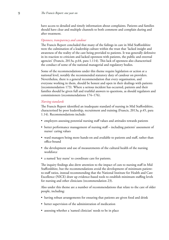have access to detailed and timely information about complaints. Patients and families should have clear and multiple channels to both comment and complain during and after treatment.

#### *Openness, transparency and candour*

The Francis Report concluded that many of the failings in care in Mid Staffordshire were the culmination of a leadership culture within the trust that 'lacked insight and awareness of the reality of the care being provided to patients. It was generally defensive in its reaction to criticism and lacked openness with patients, the public and external agencies' (Francis, 2013a, p.64, para 1.114). This lack of openness also characterised the conduct of some of the national managerial and regulatory bodies.

Some of the recommendations under this theme require legislation or action at a national level, notably the recommended statutory duty of candour on providers. Nevertheless, there is a general recommendation that every organisation, and everyone working in them, should be honest and open in their dealings with patients (recommendation 173). Where a serious incident has occurred, patients and their families should be given full and truthful answers to questions, as should regulators and commissioners (recommendations 174–176).

## *Nursing standards*

The Francis Report identified an inadequate standard of nursing in Mid Staffordshire, characterised by poor leadership, recruitment and training (Francis, 2013a, p.45, para 1.14). Recommendations include:

- employers assessing potential nursing staff values and attitudes towards patients
- better performance management of nursing staff including patients' assessment of nurses' caring values
- ward managers being more hands-on and available to patients and staff, rather than office-bound
- the development and use of measurements of the cultural health of the nursing workforce
- a named 'key nurse' to coordinate care for patients.

The inquiry findings also drew attention to the impact of cuts to nursing staff in Mid Staffordshire, but the recommendations avoid the development of minimum patientto-staff ratios, instead recommending that the National Institute for Health and Care Excellence (NICE) draw up evidence-based tools to establish minimum staffing levels for nursing and other clinicians (recommendation 23).

Also under this theme are a number of recommendations that relate to the care of older people, including:

- having robust arrangements for ensuring that patients are given food and drink
- better supervision of the administration of medication
- assessing whether a 'named clinician' needs to be in place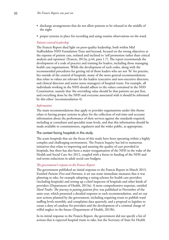- discharge arrangements that do not allow patients to be released in the middle of the night
- proper systems in place for recording and using routine observations on the ward.

# *Patient-centred leadership*

The Francis Report shed light on poor-quality leadership, both within Mid Staffordshire NHS Foundation Trust and beyond, focused on the wrong objectives at the expense of patient care, isolated and inclined to 'self promotion rather than critical analysis and openness' (Francis, 2013a, p.44, para 1.7). The report recommends the development of a code of practice and training for leaders, including those managing health care organisations. While the development of such codes, along with the recommended procedures for getting rid of those leaders who are not 'fit' for practise, lies outside of the control of hospitals, many of the more general recommendations that relate to values are relevant for the leaders (executive and non-executive directors, and clinical directors and senior nurse managers) of hospital trusts. For example, all individuals working in the NHS should adhere to the values contained in the NHS Constitution, namely that 'the overriding value should be that patients are put first, and everything done by the NHS and everyone associated with it should be informed by this ethos' (recommendation 4).

# *Information*

The main recommendations that apply to provider organisations under this theme relate to having proper systems in place for the collection of real-time and accurate information about the performance of their services against the standards required, including at consultant and specialist team levels, and that this information should be made available to commissioners, regulators and the wider public, as appropriate.

# The context facing hospitals in this study

The acute hospitals that are the focus of this study have been operating within a highly complex and challenging environment. The Francis Inquiry has led to numerous initiatives that relate to improving and assuring the quality of care provided in hospitals, but there has also been a major reorganisation of the NHS in the wake of the Health and Social Care Act 2012, coupled with a freeze in funding of the NHS and real-terms reductions in adult social care budgets.

# *The government's response to the Francis Report*

The government published an initial response to the Francis Report in March 2013. Entitled *Patients First and Foremost*, it set out some immediate measures that it was planning to take, for example adopting a rating scheme for health care providers (including hospitals) and setting up a chief inspector of hospitals and other kinds of providers (Department of Health, 2013a). A more comprehensive response, entitled *Hard Truths: The journey to putting patients first*, was published in November of the same year, which presented a detailed response to each recommendation, and set out new actions planned by the government, including requiring trusts to publish ward staffing levels monthly, and complaints data quarterly, and a proposal to legislate to create a duty of candour for providers and the development of a criminal charge of wilful neglect in the future (Department of Health, 2013b).

In its initial response to the Francis Report, the government did not specify a list of actions that it expected hospital trusts to take, but the Secretary of State for Health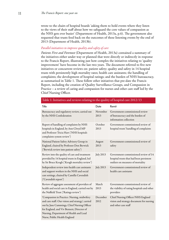wrote to the chairs of hospital boards 'asking them to hold events where they listen to the views of their staff about how we safeguard the core values of compassion as the NHS gets ever busier' (Department of Health, 2013a, p.6). The government also requested that trusts feed back on the outcomes of these listening events by the end of 2013 (Department of Health, 2013b).

# *Parallel initiatives to improve quality and safety of care*

*Patients First and Foremost* (Department of Health, 2013a) contained a summary of the initiatives either under way or planned that were directly or indirectly in response to the Francis Report, illustrating just how complex the initiatives relating to 'quality improvement' have become in the last two years. The document referred to five new initiatives or concurrent reviews on: patient safety; quality and safety in 14 hospital trusts with persistently high mortality rates; health care assistants; the handling of complaints; the development of hospital ratings; and the burden of NHS bureaucracy, as summarised in Table 1. These follow other initiatives that pre-date the Francis Report, including the creation of Quality Surveillance Groups, and Compassion in Practice – a review of caring and compassion for nurses and other care staff led by the Chief Nursing Officer.

| Title                                                                                                                                                                                                                                                                  | Date             | Remit                                                                                                                 |
|------------------------------------------------------------------------------------------------------------------------------------------------------------------------------------------------------------------------------------------------------------------------|------------------|-----------------------------------------------------------------------------------------------------------------------|
| Bureaucracy and regulatory review, carried out<br>by the NHS Confederation                                                                                                                                                                                             | November<br>2013 | Government-commissioned review<br>of bureaucracy and the burden of<br>information collection                          |
| Report of handling of complaints by NHS<br>hospitals in England, by Ann Clwyd MP<br>and Professor Tricia Hart ('NHS hospitals<br>complaints system review')                                                                                                            | October<br>2013  | Government-commissioned review of<br>hospital trusts' handling of complaints                                          |
| National Patient Safety Advisory Group in<br>England, chaired by Professor Don Berwick<br>('Berwick review into patient safety')                                                                                                                                       | August<br>2013   | Government-commissioned review of<br>safety                                                                           |
| Review into the quality of care and treatment<br>provided by 14 hospital trusts in England, led<br>by Sir Bruce Keogh ('Keogh mortality review')                                                                                                                       | <b>July 2013</b> | Government-commissioned review of 14<br>hospital trusts that had been persistent<br>outliers on measures of mortality |
| Independent review into health care assistants<br>and support workers in the NHS and social<br>care settings, chaired by Camilla Cavendish<br>('Cavendish report')                                                                                                     | <b>July 2013</b> | Government-commissioned review of<br>health care assistants                                                           |
| Review of aggregate assessment of providers of<br>health and social care in England, carried out by<br>the Nuffield Trust ('Ratings review')                                                                                                                           | March<br>2013    | Government-commissioned review of<br>the viability of rating hospitals and other<br>providers                         |
| 'Compassion in Practice: Nursing, midwifery<br>and care staff: Our vision and strategy', carried<br>out by Jane Cummings, Chief Nursing Officer<br>for England, and Viv Bennett, Director of<br>Nursing, Department of Health and Lead<br>Nurse, Public Health England | December<br>2012 | Chief Nursing Officer/NHS England<br>vision and strategy document for nursing<br>and other care staff                 |

#### Table 1: Initiatives and reviews relating to the quality of hospital care 2012/13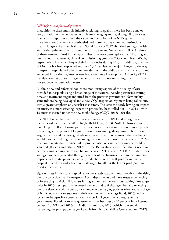## *NHS reform and financial pressures*

In addition to these multiple initiatives relating to quality, there has been a major reorganisation of the bodies responsible for managing and regulating NHS services. The Francis Report examined the values and behaviour of an NHS system that has since been comprehensively overhauled and in some cases examined institutions that no longer exist. The Health and Social Care Act 2012 abolished strategic health authorities, primary care trusts and Local Involvement Networks (LINks). All three of these were examined in the report. They have now been replaced by NHS England (and its local area teams), clinical commissioning groups (CCGs) and HealthWatch, respectively, all of which began their formal duties during 2013. In addition, the role of Monitor has been expanded and the CQC has also seen major changes to the way it inspects hospitals and other care providers, with the addition of chief inspectors and enhanced inspection regimes. A new body, the Trust Development Authority (TDA), has also been set up, to manage the performance of those remaining trusts that have not yet become foundation trusts.

All these new and reformed bodies are monitoring aspects of the quality of care provided in hospitals using a broad range of indicators, including extensive waitingtime and treatment targets inherited from the previous government. New quality standards are being developed and a new CQC inspection regime is being rolled out, with a greater emphasis on specialist inspectors. The latter is already having an impact on trusts, as a more exacting inspection process has been rolled out – in 2013 – with 18 trusts inspected under the new methodology (CQC, 2013a; 2013b).

The NHS budget has been frozen in real terms since 2010/11 and no significant increases will occur before 2015/16 (Nuffield Trust, 2013). Nuffield Trust research modelling the effect of rising pressure on services from a combination of more people living longer, rising rates of long-term conditions among all age groups, health care wage inflation and technological advances in medicine has estimated that the budget would have needed to grow by an average of four per cent over the decade to 2021/22 to accommodate these trends, unless productivities of a similar magnitude could be achieved (Roberts and others, 2012). The NHS has already identified that it needs to deliver savings equivalent to £20 billion between 2011/12 and 2014/15. To date, these savings have been generated through a variety of mechanisms that have had important impacts on hospital providers, notably reductions in the tariff paid for individual hospital procedures and a freeze on staff wages for all but the lowest paid (National Audit Office, 2012).

Signs of stress in the acute hospital sector are already apparent, most notably in the rising pressure on accident and emergency (A&E) departments and more trusts experiencing or forecasting a deficit. NHS trusts in England missed the four-hour waiting-time target twice in 2013; a symptom of increased demand and staff shortages, but also reflecting pressure elsewhere within trusts, for example in discharging patients who need a package of NHS and social care support in their own homes (The King's Fund, 2013). Adult social care budgets have been reduced in most local government areas, as central government allocations to local government have been cut by 20 per cent in real terms between 2010/11 and 2013/14 (Audit Commission, 2013), which is potentially hampering the prompt discharge of people from hospital (NHS Confederation, 2012).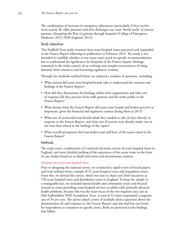The combination of increases in emergency admissions (particularly if they involve more acutely ill, older patients) and slow discharges can cause 'bottle-necks' of intense pressure, disrupting the flow of patients through hospitals (College of Emergency Medicine, 2013; NHS England, 2013).

#### Study objectives

This Nuffield Trust study examines how acute hospital trusts perceived and responded to the Francis Report following its publication in February 2013. The study is not intended to establish whether or not acute trusts acted on specific recommendations, but to understand the significance for hospitals of the Francis Inquiry findings, examined in the wider context of an evolving and complex environment of rising demand, finite resources and increasing regulatory scrutiny.

Through the methods outlined below, we explored a number of questions, including:

- What actions did acute trust hospital boards take to understand the contents and findings of the Francis Report?
- How did they disseminate the findings within their organisation and what sort of response did they perceive from staff, patients and the wider public to the Francis Report?
- What themes from the Francis Report did acute trust boards and leaders perceive as important, given the financial and regulatory context facing them in 2013?
- What sort of action did trust boards think they needed to take (if any) directly in response to the Francis Report, and what sort of actions were already under way in the trust that related to the findings of the report?
- What overall perceptions did trust leaders and staff have of the issues raised in the Francis Report?

# **Methods**

The study used a combination of a national electronic survey of acute hospital trusts in England, and more detailed probing of the experience of five acute trusts in the form of case studies based on in-depth interviews and documentary analysis.

# *National survey of acute hospital trusts*

Prior to designing the national survey, we conducted a rapid review of board papers and trust websites from a sample of 37 acute hospital trusts and foundation trusts. From this, we devised the survey, which was sent to chairs and chief executives at 158 acute hospital trusts and foundation trusts in England. To keep the sample to a manageable size, we excluded mental health and community trusts and focused instead on trusts providing acute hospital services to adults with primarily physical health problems, because this was the main focus of the two inquiries into care at Mid Staffordshire NHS Foundation Trust. A total of 53 trusts responded; a response rate of 34 per cent. The survey asked a series of multiple-choice questions about the dissemination of, and response to, the Francis Report, and also had free-text boxes for respondents to comment on specific items. Both are presented in the findings that follow.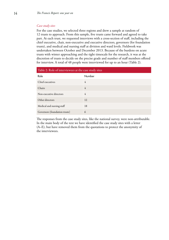# *Case study sites*

For the case studies, we selected three regions and drew a sample at random of 12 trusts to approach. From this sample, five trusts came forward and agreed to take part. At each trust, we requested interviews with a cross-section of staff, including the chief executive, chair, non-executive and executive directors, governors (for foundation trusts), and medical and nursing staff at division and ward levels. Fieldwork was undertaken between October and December 2013. Because of the burdens on acute trusts with winter approaching and the tight timescale for the research, it was at the discretion of trusts to decide on the precise grade and number of staff members offered for interview. A total of 48 people were interviewed for up to an hour (Table 2).

| Table 2: Role of interviewees at the case study sites |        |  |  |
|-------------------------------------------------------|--------|--|--|
| Role                                                  | Number |  |  |
| Chief executives                                      | 4      |  |  |
| Chairs                                                | 4      |  |  |
| Non-executive directors                               | 4      |  |  |
| Other directors                                       | 12     |  |  |
| Medical and nursing staff                             | 18     |  |  |
| Governors (foundation trusts)                         | 6      |  |  |

The responses from the case study sites, like the national survey, were non-attributable. In the main body of the text we have identified the case study sites with a letter (A–E), but have removed them from the quotations to protect the anonymity of the interviewees.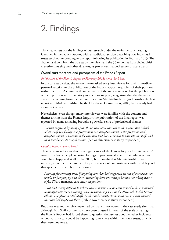# 2. Findings

This chapter sets out the findings of our research under the main thematic headings identified in the Francis Report, with an additional section describing how individual trusts set about responding to the report following its publication in February 2013. The chapter is drawn from the case study interviews and the 53 responses from chairs, chief executives, nursing and other directors, as part of our national survey of acute trusts.

# Overall trust reactions and perceptions of the Francis Report

# *Publication of the Francis Report in February 2013: not a shock but…*

In the case study sites, the research team asked every interviewee for their immediate, personal reaction to the publication of the Francis Report, regardless of their position within the trust. A common theme in many of the interviews was that the publication of the report was not a revelatory moment or surprise, suggesting that the themes and evidence emerging from the two inquiries into Mid Staffordshire (and possibly the first report into Mid Staffordshire by the Healthcare Commission, 2009) had already had an impact on staff.

Nevertheless, even though many interviewees were familiar with the content and themes arising from the Francis Inquiry, the publication of the final report was reported by many as having brought a powerful sense of professional shame:

 *I wasn't surprised by many of the things that came through in the report. But I think what it left you feeling as a professional was disappointment in the profession and disappointment in relation to the care that had been provided to patients, the staff, and their loved ones, during that time.* (Senior clinician, case study respondent)

# *Could it have happened here?*

There were mixed views about the significance of the Francis Inquiry for interviewees' own trusts. Some people reported feelings of professional shame that failings of care could have happened at all in the NHS, but thought that Mid Staffordshire was unusual, an outlier; the product of a particular set of circumstances within and beyond that specific trust and health economy.

 *I can say for certainty that, if anything like that had happened on any of our wards, we would be jumping up and down, screaming from the treetops because something wasn't right.* (Ward manager, case study respondent)

 *I still find it very difficult to believe that somehow one hospital seemed to have managed to amalgamate every uncaring, uncompassionate person in the National Health Service all into one place in Mid Staffs. So that didn't really chime with me, so I was amazed that this had happened there.* (Public governor, case study respondent)

But there was another view expressed by many interviewees in the case study sites that although Mid Staffordshire may have been unusual in terms of the scale of failings, the Francis Report had forced them to question themselves about whether incidents of poor-quality care could be happening somewhere within their own trusts, of which they were not aware.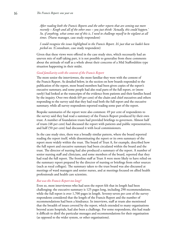*After reading both the Francis Reports and the other reports that are coming out more recently – Keogh and all of the other ones – you just think: 'Actually, this could happen.' So, if anything, what comes out of this is, I need to challenge myself to be vigilant at all times.* (Nurse manager, case study respondent)

 *I could recognise the issues highlighted in the Francis Report. It's just that we hadn't been picked on.* (Consultant, case study respondent)

Given that these views were offered in the case study sites, which necessarily had an uneven mix of staff taking part, it is not possible to generalise from these comments about the attitude of staff as a whole about their concerns of a Mid Staffordshire type situation happening in their midst.

# *Good familiarity with the content of the Francis Report*

The more senior the interviewees, the more familiar they were with the content of the Francis Report. As detailed below, in the section on how boards responded to the publication of the report, most board members had been given copies of the report's executive summary, and some people had also read parts of the full report, or (more rarely) had looked at the transcripts of the evidence from patients and their families heard by the inquiry. Over two thirds (69 per cent) of the chairs and chief executives and others responding to the survey said that they had read both the full report and the executive summary, while all survey respondents reported reading some part of the report.

Bespoke summaries of the report were also common: 49 per cent of respondents to the survey said they had read a summary of the Francis Report produced by their own trust. A number of foundation trusts had provided briefings to governors. Almost half of trusts (48 per cent) had discussed the report with patients and public representatives, and half (50 per cent) had discussed it with local commissioners.

In the case study sites, there was a broadly similar pattern, where the board reported reading the report itself, while disseminating the report or its own summary of the report more widely within the trust. The board of Trust A, for example, described how the full report and executive summary had been circulated within the board and the trust. The director of nursing had also produced a summary of the report. A number of senior nursing staff and clinicians, and some members of the board, reported that they had read the full report. The frontline staff at Trust A were more likely to have relied on the summary report prepared by the director of nursing or briefings from other sources (such as royal colleges). The summary taken to the trust board was also discussed at meetings of ward managers and senior nurses, and at meetings focused on allied health professionals and health care scientists.

#### *But was the Francis Report too long?*

Even so, most interviewees who had seen the report felt that its length had been challenging: the executive summary is 125 pages long, including 290 recommendations, while the full report is over 1,700 pages in length. Seventy-seven per cent of the survey respondents considered that the length of the Francis Report and the number of recommendations had been a hindrance. In interviews, staff at trusts also mentioned that the breadth of issues covered by the report, which extended to many organisations beyond acute hospitals, had also been a challenge. For some respondents, this had made it difficult to distil the particular messages and recommendations for their organisation (as opposed to the wider system, or other organisations).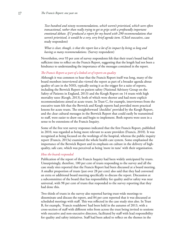*Two hundred and ninety recommendations, which weren't prioritised, which were often transactional, rather than really trying to get to grips with a profoundly important emotional debate. If I produced a report for my board with 290 recommendations that*  weren't prioritised, it would be a very, very brief agenda item. (Chief executive, case study respondent)

 *What is clear, though, is that the report lost a lot of its impact by being so long and having so many recommendations.* (Survey respondent)

Nevertheless, over 93 per cent of survey respondents felt that their trust's board had had sufficient time to reflect on the Francis Report, suggesting that the length had not been a hindrance to understanding the importance of the messages contained in the report.

# *The Francis Report as part of a linked set of reports on quality*

Although it was common to hear that the Francis Report itself was long, many of the board members interviewed also viewed the report as part of a broader agenda about quality of care in the NHS, typically seeing it as the trigger for a suite of reports, including the Berwick Report on patient safety (National Advisory Group on the Safety of Patients in England, 2013) and the Keogh Report on 14 trusts with high mortality rates (Keogh, 2013), both of which were shorter and had more explicit recommendations aimed at acute trusts. In Trust C, for example, interviewees from the executive team felt that the Berwick and Keogh reports had provided more practical lessons for acute trusts. The straightforward 'checklist' provided by the Keogh Report, and the clear cultural messages in the Berwick Report that could easily be transmitted to staff, were easier to draw out and begin to implement. Both reports were seen in a sense to be extensions of the Francis Inquiry.

Some of the free text survey responses indicated that the first Francis Report, published in 2010, was regarded as being more relevant to acute providers (Francis, 2010). It was recognised as being focused on the workings of the hospital, whereas the public inquiry report (Francis, 2013a) examined the whole health care system. Some emphasised the importance of the Berwick Report and its emphasis on culture in the delivery of highquality, safe care, which was perceived as being 'more in tune' with their organisation.

## *How the boards responded*

Publication of the report of the Francis Inquiry had been widely anticipated by trusts. Unsurprisingly, therefore, 100 per cent of trusts responding to the survey and all the case study sites reported that the Francis Report had been discussed at a board meeting. A smaller proportion of trusts (just over 28 per cent) also said that they had convened an extra or additional board meeting specifically to discuss the report. Discussion at a subcommittee of the board that has responsibility for quality and/or safety was near universal, with 98 per cent of trusts that responded to the survey reporting that they had done this.

Two thirds of trusts in the survey also reported having trust-wide meetings to disseminate and discuss the report, and 84 per cent reported that it was discussed at scheduled meetings with staff. This was reflected in the case study sites also. In Trust B, for example, 'Francis roadshows' had been held in the autumn of 2013, with a cross-section of staff with different roles from across the trust being invited to sessions with executive and non-executive directors, facilitated by staff with lead responsibility for quality and safety initiatives. Staff had been asked to reflect on the themes in the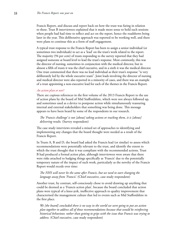Francis Report, and discuss and report back on how the trust was faring in relation to these. Trust B interviewees explained that it made more sense to hold such sessions when people had had time to reflect and act on the report, hence the roadshows being later in the year. This deliberative approach was reported to be working well, and there were plans to continue this as a form of staff engagement.

A typical trust response to the Francis Report has been to assign a senior individual (or sometimes two individuals) to act as a 'lead' on the trust's work related to the report. The majority (94 per cent) of trusts responding to the survey reported that they had assigned someone at board level to lead the trust's response. Most commonly, this was the director of nursing, sometimes in conjunction with the medical director, but in almost a fifth of trusts it was the chief executive, and in a sixth it was the medical director. One trust commented that there was no lead individual as their trust's response "is very deliberately led by the whole executive team". Joint leads involving the director of nursing and medical director were also reported in a minority of cases, and there was an example of a trust appointing a non-executive lead for each of the themes in the Francis Report.

# *An action plan or not?*

There are copious references in the first volume of the 2013 Francis Report to the use of action plans by the board of Mid Staffordshire, which were not always followed up, and sometimes used as a device to postpone action while simultaneously reassuring internal and external stakeholders that something was being done. This message appears to have been heard by some of the respondents in our research.

 *The 'Francis challenge' is not [about] taking actions or tracking them, it is [about] delivering results.* (Survey respondent)

The case study interviews revealed a mixed set of approaches to identifying and implementing any changes that the board thought were needed as a result of the Francis Report.

In Trusts A, B and D, the board had asked the Francis lead (or similar) to assess which recommendations were potentially relevant to the trust, and identify the extent to which the trust thought that it was compliant with the recommended actions. Trust B had produced a formal action plan, although interviewees were aware that there were risks attached to badging things specifically as 'Francis' due to the potentially temporary nature of the impact of such work, particularly as the novelty of the Francis Report would recede over time:

# *The NHS will never be the same after Francis, but we need to start changing the language away from 'Francis'.* (Chief executive, case study respondent)

Another trust, by contrast, self-consciously chose to avoid drawing up anything that could be deemed as a 'Francis action plan', because the board concluded that action plans were typical of a knee-jerk, ineffective approach to quality improvement that characterised the management culture that led to events such as Mid Staffordshire in the first place.

 *We [the board] concluded there is no way in the world we were going to put an action plan together to address all of those recommendations because that would be reinforcing historical behaviour, rather than getting to grips with the issue that Francis was trying to address.* (Chief executive, case study respondent)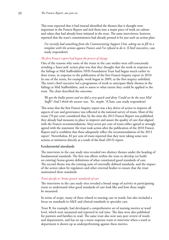This trust reported that it had instead identified the themes that it thought were important in the Francis Report and tied them into a major piece of work on culture and values that had already been initiated in the trust. The same interviewee, however, reported that the trust's commissioners had already pressed it for just such an action plan:

 *I've recently had something from the Commissioning Support Unit, asking me to fill in a*  template with the actions against Francis and I've refused to do it. (Chief executive, case study respondent)

# *The first Francis report had begun the process of change*

One of the reasons why some of the trusts in the case studies were self-consciously avoiding a 'knee-jerk' action plan was that they thought that the work in response to the failings at Mid Staffordshire NHS Foundation Trust had begun much earlier in their trusts, in response to the publication of the first Francis Inquiry report in 2010. In one of the trusts, for example, work began in 2009, as the first inquiry unfolded. The trust's chief executive led a programme of work to anticipate likely themes in the failings at Mid Staffordshire, and to assess to what extent they could be applied to the trust. The chair described the outcome:

 *We got the bullet points and we did a very quick and dirty 'Could we be the next Mid Staffs?' And I think the answer was, 'Yes, maybe.'* (Chair, case study respondent)

This sense that the first Francis Inquiry report was a key driver of action to improve all aspects of care and governance was reflected in the national survey of trusts. Most of the trusts (70 per cent) considered that, by the time the 2013 Francis Report was published, they already had measures in place to improve and assure the quality of care that aligned with the Francis recommendations. Sixty-seven per cent of trusts either agreed or strongly agreed with the statement 'the trust took action after the publication of the 2010 Francis Report and is confident that these adequately reflect the recommendations of the 2013 report'. Nevertheless, 82 per cent of trusts reported that they were taking some new actions or initiatives directly as a result of the final (2013) report.

#### Fundamental standards

The interviews in the case study sites revealed two distinct themes under the heading of fundamental standards. The first was efforts within the trust to develop (or build on existing) home-grown definitions of what constituted good standards of care. The second theme was the existing suite of externally defined standards, and the impact of the action taken by regulators and other external bodies to ensure that the trust maintained these standards.

## *Trust-specific or 'home-grown' standards of care*

The interviews in the case study sites revealed a broad range of activity in participating trusts to understand what good standards of care look like and how these might be measured.

In terms of scope, many of these related to nursing care in wards, but also included a focus on standards in A&E and clinical standards in specialty care.

Trust B, for example, had developed a comprehensive set of nursing metrics at ward level, which were measured and reported in real time. The data were also published for patients and families to read. The same trust also now uses peer review of wards and departments, and has set up a nurse response team to intervene when a ward or department is shown up as underperforming against these metrics.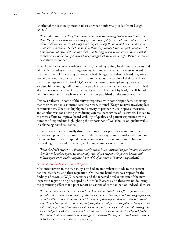Another of the case study trusts had set up what it informally called 'mini-Keogh reviews':

 *We've taken the word 'Keogh' out because we were frightening people to death by using that. It's an area where we're picking up a number of different indicators which are not ideal, shall we say. We're not using mortality as the big thing. It isn't just one thing, it's complaints, incidents, perhaps more falls than they usually have, not picking up on VTE prophylaxis, all sorts of things like that. But looking at where we seem to have a bit of*  inconsistency and a bit of a mixed bag of things that aren't quite right. (Senior clinician, case study respondent)

Trust A also had a set of ward-level metrics, including staffing levels, pressure ulcers and falls, which acted as early warning systems. A number of staff at this trust reported that their threshold for acting on concerns had changed, and they believed they were now more receptive to what patients had to say about the quality of their care. They had also set up 'mock' internal CQC visits as a means of strengthening personal accountability among staff. Prior to the publication of the Francis Report, Trust E had already developed a suite of quality metrics on a clinical specialty level, in collaboration with its consultants in each area, which are now published on the trust's website.

This was reflected in some of the survey responses, with some respondents reporting that their trusts had also introduced their own, internal 'Keogh reviews' involving local commissioners. One trust highlighted activity to partner trusts in special measures, and another was considering introducing external peer review of its services. Linked to this were efforts to improve board visibility of quality and patient experience, with a number of respondents highlighting the importance of 'walkabouts' or 'quality walks' in enhancing board assurance.

In many ways, these internally driven mechanisms for peer review and assessment seemed to represent an attempt to move the onus away from external validation. Some comments from survey respondents reflected concern about an over-emphasis on external regulation and inspection, including its impact on culture.

 *What the NHS response to Francis utterly misses is that external inspection and assurance should not be relied upon, yet nationally most of the response de-powers boards and inflicts upon them endless duplicative models of assurance.* (Survey respondent)

## *National standards, now and in the future*

Most interviewees in the case study sites had an ambivalent attitude to the current national standards and their regulation. On the one hand there was respect for the findings of previous CQC inspections and the renewed professionalism of the new inspection regime being developed by Sir Mike Richards, and there was no doubting the galvanising effect that a poor report on aspects of care had had on individual trusts.

 *We had a very bad experience a while back where we failed the CQC inspection on a [number of care-related indicators]. And it was a very shaming and humbling experience, actually. Now, it doesn't matter what I thought of that report: that is irrelevant. There's something about public confidence, staff confidence and patient confidence. Now, as I say, we're not perfect, but I do think we do focus on quality. I've got a director of nursing who I'd be happy to look after me when I was ill. That's the basis on which I appoint people these days. And we've already done things like changed the way we recruit against values.*  (Chief executive, case study respondent)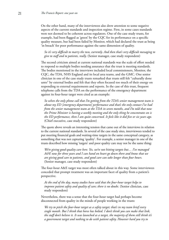On the other hand, many of the interviewees also drew attention to some negative aspects of the current standards and inspection regime. First, in some cases standards were not deemed to be coherent across regulators. One of the case study trusts, for example, had been flagged as 'green' by the CQC for its performance on a specific quality measure, but had been failed by Monitor, which had declared the trust as being 'in breach' for poor performance against the same dimension of quality.

 *So it's very difficult to marry the two, currently. And then that's very difficult messaging to give to staff and to patients, really.* (Senior manager, case study respondent)

The second criticism aimed at current national standards was the scale of effort needed to respond to multiple bodies needing assurance that the trust is meeting standards. The bodies mentioned in the interviews included local commissioners, Monitor, the CQC, the TDA, NHS England and its local area teams, and the GMC. One senior clinician in one of the case study trusts remarked that trusts still felt "culturally done unto" by external bodies and felt that they often focused too much of their energy on responding to external requirements and reports. In the case of this trust, frequent telephone calls from the TDA on the performance of the emergency department against its four-hour target were cited as an example:

 *So when the only phone call that I'm getting from the TDA's senior management team is about my ED [emergency department] performance and that's the only contact I've had from the senior management team at the TDA in seven months, and I'm told that now the Prime Minister is having a weekly meeting and the only thing he concentrates on is the ED performance, then I am quite concerned. It feels like it did five or six years ago.*  (Chief executive, case study respondent)

The quote above reveals an interesting tension that came out of the interviews in relation to the current national standards. In several of the case study sites, interviewees tended to put meeting financial goals and waiting-time targets in the same conceptual category, as something that was not capturing 'quality'. For example, a senior manager in one of the trusts described how missing 'targets' and poor quality care may not be the same thing:

 *We're giving good-quality care here. Yes, we're not hitting targets but… I've managed A&E now for three years and I can hand on heart go down there and know that we are giving good care to patients, and good care can take longer than four hours.*  (Senior manager, case study respondent)

The four-hour A&E target was most often talked about in this way. Some interviewees conceded that prompt treatment was an important facet of quality from a patient's perspective.

 *At the end of the day, many studies have said that the four-hour target helps to improve patient safety and quality of care; there is no doubt.* (Senior clinician, case study respondent)

Nevertheless, there was a sense that the four-hour target had perhaps become disconnected from quality in the minds of people working in the trusts:

 *We try to pitch the four-hour target as a safety target; that's in my team brief every single month. But I think that horse has bolted. I don't think you can make that link, the staff don't believe it. It was launched as a target, the majority of them still think it's a government target and nothing to do with patient safety. However hard you try to*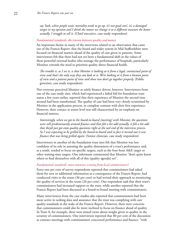*say 'look, when people wait, mortality tends to go up, it's not good care', it's a damaged target in my opinion and I think the sooner we change it to a different measure the better actually. I struggle to sell it.* (Chief executive, case study respondent)

# *Fundamental standards: the tension between quality and money*

An important theme in many of the interviews related to an observation that came out of the Francis Report: that the board and wider system in Mid Staffordshire were focused on financial matters ahead of the quality of care given to patients. Some interviewees felt that there had not yet been a fundamental shift in the values of these powerful external bodies who manage the performance of hospitals, particularly Monitor, towards the need to prioritise quality above financial health.

 *The trouble is, as I see it, is that Monitor is looking at it from a legal, contractual point of view and that's the only way they can look at it. We're looking at it from a human point of view and a patient point of view and those two don't go together properly.* (Public governor, case study respondent)

Not everyone perceived Monitor as solely finance driven, however. Interviewees from one of the case study sites, which had experienced a failed bid for foundation trust status a few years earlier, reported that their experience of Monitor the second time around had been transformed. The quality of care had been very closely scrutinised by Monitor in the application process, in complete contrast with their first experience. However, their contact at senior level was still characterised by an emphasis on financial matters.

 *Interestingly, when we got to the board-to-board [meeting] with Monitor, the questions were still predominantly around finance and that felt a bit odd actually, it felt a bit odd that they'd just got onto quality questions right at the tail end of the interview process. So I was expecting to be grilled by the board-to-board and in fact it turned out it was finance that was being grilled again.* (Senior clinician, case study respondent)

Interviewees in another of the foundation trust sites felt that Monitor was less confident of its role in assessing the quality dimensions of a trust's performance and, as a result, tended to focus on specific targets, such as the four-hour A&E target or other waiting-time targets. One informant commented that Monitor "don't quite know where to find themselves with all of this [quality agenda] yet".

#### *Fundamental standards: more intensive scrutiny from local commissioners?*

Forty-one per cent of survey respondents reported that commissioners had asked them for new or additional information as a consequence of the Francis Report, had conducted visits to the trusts (36 per cent) or had revised their approach to monitoring the quality of services in the trusts (26 per cent). One respondent said that their trust's commissioners had increased support to the trust, while another reported that the Francis Report had been discussed at a board-to-board meeting with commissioners.

Many interviewees from the case studies also reported that commissioners had been more active in seeking data and assurance that the trust was complying with care quality standards in the wake of the Francis Report. However, there were concerns that commissioners could also be more inclined to focus on finance ahead of quality. In Trust A, for example, there were mixed views about weight given to quality in the scrutiny of commissioners. One interviewee reported that 80 per cent of the discussion at contract meetings with commissioners concerned performance and finance, "with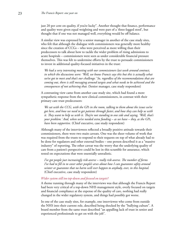just 20 per cent on quality, if you're lucky". Another thought that finance, performance and quality were given equal weighting and were part of a 'three-legged stool', but thought that if one was not managed well, everything would be off balance.

A similar view was expressed by a senior manager in another of the case study sites, who felt that although the dialogue with commissioners was generally more healthy since the creation of CCGs – who were perceived as more willing than their predecessors to talk about how to tackle the wider problem of rising admissions to acute hospitals – commissioners were seen as under considerable financial pressure themselves. This was felt to undermine efforts by the trust to persuade commissioners to invest in additional quality-focused initiatives in the trust:

 *We had a very interesting meeting with our commissioners last week around contract, in which the discussions were: 'Well, we know Francis says this but this is actually what we've got to meet and that's our challenge.' So, regardless of the recommendations that are coming out, there is still messaging around targets and what needs to be achieved and the consequences of not achieving that.* (Senior manager, case study respondent)

A contrasting view came from another case study site, which had found a more sympathetic response from the new clinical commissioners, in contrast with their primary care trust predecessors:

 *We sat with the CCG, with the GPs in the room, talking to them about the issues we've got here, and how we need to get patients through faster, and how they can help us with it. They want to help us with it. They're not standing to one side and saying, 'Well, that's your problem.' And, when we've needed extra funding – as we have – they, as the GPs, have been supportive.* (Chief executive, case study respondent)

Although many of the interviewees reflected a broadly positive attitude towards their commissioners, there were two main caveats. One was the sheer volume of work that was required from the trusts to respond to their requests on top of what already had to be done for regulators and other external bodies – one person described it as a "massive industry" of reporting. The other caveat was the worry that the underlying quality of care from a patient's perspective could be lost in this scramble for assurance, which rested on expectations that were essentially unrealistic.

 *I've got people just increasingly risk-averse – really risk-averse. The number of forms I've had to fill in to cover other people's arses about how I can guarantee safety around winter or guarantee that no harm will ever happen to anybody, ever, in this hospital.*  (Chief executive, case study respondent)

#### *Wider system still too top-down and focused on targets?*

A theme running through many of the interviews was that although the Francis Report had been very critical of a top-down NHS management style, overly focused on targets and financial compliance at the expense of the quality of care, nothing had really changed in the wider regulatory system, and things had possibly got worse.

In one of the case study sites, for example, one interviewee who come from outside the NHS into their current role, described being shocked by the "bullying culture". A board member from the same trust described "an appalling lack of trust in senior and experienced professionals to get on with the job".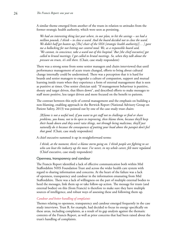A similar theme emerged from another of the trusts in relation to attitudes from the former strategic health authority, which were seen as persisting.

 *We had an interesting thing last year where, in our plan, to hit the savings – we had a million pounds, I think – to close a ward. And the board decided not to close the ward. We didn't half get beaten up.[The] chair of the SHA [strategic health authority][… ] gave me a bollocking for not hitting our control total. We, as a responsible board said, 'We cannot, in conscience, take a ward out of this hospital.' But [the chief executive] got called to brutal meetings; I got called to brutal meetings. So, when they talk about the pressure on trusts, it's still there.* (Chair, case study respondent)

There was a strong sense from some senior managers and chairs interviewed that until performance management of acute trusts changed, efforts to bring about cultural change internally could be undermined. There was a perception that it is hard for boards and senior managers to engender a culture of compassion, support and mutual learning inside trusts when they experience a form of external management that is seen as punitive at times. One senior clinician said: "If management behaviour is punitive, shouty and target driven, that filters down", and described efforts to make messages to staff more positive, less target driven and more focused on the benefit to patients.

The contrast between this style of central management and the emphasis on building a non-blaming, enabling approach in the Berwick Report (National Advisory Group on Patient Safety, 2013) was pointed out by one of the case study trust chairs:

 *[B]lame is not a useful tool; if you want to get staff not to challenge or find or share problems, you know, not to be open to improving, then blame them, because they'll keep their heads down and they won't raise things, not through being malicious, they'll just naturally do it because the consequences of putting your head above the parapet don't feel that good.* (Chair, case study respondent)

A chief executive summed it up in straightforward terms:

 *I think, at the moment, there's a blame storm going on. I think people are fighting to see who can beat the industry up the most. I've never, in my whole career, felt more regulated.*  (Chief executive, case study respondent)

# Openness, transparency and candour

The Francis Report identified a lack of effective communication both within Mid Staffordshire NHS Foundation Trust and across the wider health care system with regard to sharing information and concerns. At the heart of the failure was a lack of openness, transparency and candour in the information emanating from Mid Staffordshire. There was a lack of willingness on the part of multiple external bodies to heed the messages, link them up or take follow-up action. The message for trusts (and external bodies) on this (from Francis) is therefore to make sure they have multiple sources of intelligence, and robust ways of assessing these and following them up.

# *Candour and better handling of complaints*

Themes relating to openness, transparency and candour emerged frequently in the case study interviews. Trust B, for example, had decided to focus its energy specifically on these areas, including complaints, as a result of its gap analysis against the thematic contents of the Francis Report, as well as prior concerns that had been raised about the trust's handling of complaints.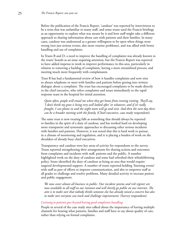Before the publication of the Francis Report, 'candour' was reported by interviewees to be a term that was unfamiliar to many staff, and some trusts used the Francis briefings as an opportunity to explore what was meant by it and how staff might take a different approach to sharing information about care with patients and their families. In many cases, candour was understood as a greater willingness to be open when things went wrong (not just serious events; also more routine problems), and was allied with better handling and use of complaints.

In Trusts B and D, a need to improve the handling of complaints was already known to the trusts' boards as an issue requiring attention, but the Francis Report was reported to have added impetus to work to improve performance in this area, particularly in relation to removing a backlog of complaints, having a more streamlined process, and meeting much more frequently with complainants.

Trust B has had a fundamental review of how it handles complaints and now tries to always telephone or meet with families and patients before getting into written dialogue about a complaint. The trust has encouraged complaints to be made directly to the chief executive, who refers complaints and issues immediately to the rapid response team in the hospital for initial attention.

 *Quite often, people will email me when they get home from evening visiting. They'll say, 'I don't think my gran is being very well looked after' or whatever, and if it's really fraught, I can phone in and the night team will go and visit. And then the next day there can be a broader meeting with the family.* (Chief executive, case study respondent)

The same trust is now treating falls as something that should always be reported to families in the spirit of a duty of candour, and has worked hard on developing more transparent and systematic approaches to discussing other serious incidents with families and patients. However, it was noted that this is hard work to pursue, in a climate of monitoring and regulation, and it is placing a burden of work on the shoulders of already busy chief executives.

Transparency and candour were key areas of activity for respondents to the survey. Trusts reported strengthening their arrangements for sharing actions and outcomes from complaints and incidents with staff, patients and the public. A number highlighted work on the duty of candour and some had refreshed their whistleblowing policy. Some identified the duty of candour as being an area that would require targeted developmental support. A number of trusts reported holding 'listening events' with staff as part of efforts to improve communication, and also to empower staff at all grades to challenge and resolve problems. Many detailed activity to increase patient and public engagement.

 *We now cover almost all business in public. Our incident systems and risk register are now available to all staff on our intranet and will shortly go public on our internet. The aim is to make sure that nobody thinks someone else has already raised a concern but also to make sure everyone can track and challenge improvement.* (Survey respondent)

#### *Listening to patients goes beyond having good complaints handling*

People in several of the case study sites talked about the importance of having multiple channels for hearing what patients, families and staff have to say about quality of care, rather than relying on formal complaints.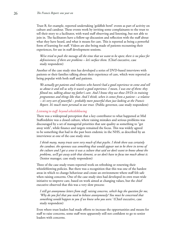Trust B, for example, reported undertaking 'goldfish bowl' events as part of activity on culture and candour. These events work by inviting some complainants to the trust to tell their story to a facilitator, with ward staff observing and listening, but not able to join in. The facilitators have a follow-up discussion and reflection with the staff about what they have heard, and what it means for care. This is reported as being a powerful form of learning for staff. Videos are also being made of patients recounting their experiences, for use in staff development sessions.

 *We've tried to push the message all the time that we want to be open; there is no place for*  defensiveness; if there are problems - let's surface them. (Chief executive, case study respondent)

Another of the case study sites has developed a series of DVD-based interviews with patients or their families talking about their experience of care, which were reported as being popular with both staff and patients.

 *We actually get patients and relatives who haven't had a good experience to come and tell us about it and tell us why it wasn't a good experience. I mean, I was one of them: they filmed me, talking about my father's care. And I know they use those DVDs in training programmes and things like that. And I think, when it comes from a patient – a relative – it's very sort of powerful – probably more powerful than just looking at the Francis Report. It's much more personal to our trust.* (Public governor, case study respondent)

# *Listening to staff: beyond whistleblowing*

There was a widespread perception that a key contributor to what happened at Mid Staffordshire was a closed culture, where raising mistakes and serious problems was discouraged by a set of managerial priorities that saw quality as something to "get away with", while finance and targets remained the focus. This was widely agreed to be something that had in the past been endemic in the NHS, as described by an interviewee at one of the case study sites:

 *I think many, many trusts were very much of that psyche. I think there was certainly the candour, the openness was something that would appear not to be there in terms of the culture and I got a sense it was a culture that said we don't want to know about the problems, we'll get away with that element, so we don't have to focus too much about it.*  (Senior manager, case study respondent)

Three of the case study trusts reported work on refreshing or renewing their whistleblowing policies. But there was a recognition that this was one of the hardest areas in which to change behaviour and create an environment where staff felt safe when raising concerns. One of the case study sites had developed its own trust-wide initiative to improve care, based on work aimed at changing values, but the chief executive observed that this was a very slow process:

 *I still get anonymous letters from staff, raising concerns, which begs the question for me, 'Why do you feel that you need to behave anonymously? You must be concerned that something would happen to you if we knew who you were.'* (Chief executive, case study respondent)

Even where trust leaders had made efforts to increase the opportunities and means for staff to raise concerns, some staff were apparently still not confident to go to senior leaders with concerns.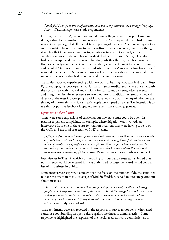# *I don't feel I can go to the chief executive and tell… my concerns, even though [they say] I can.* (Ward manager, case study respondent)

Nursing staff in Trust A, by contrast, voiced more willingness to report problems, but thought that doctors might be more reluctant. Trust A also reported that it had invested in a software package that allows real-time reporting of incidents. Staff, including doctors, were thought to be more willing to use the software incident reporting system, although it was felt that there was a long way to go until doctors used it routinely and no significant increase in the number of incidents had been reported. A duty of candour had been incorporated into the system by asking whether the duty had been completed. Root cause analysis of incidents recorded on the system was thought to be more robust and detailed. One area for improvement identified in Trust A was in feeding back to staff involved in an incident. Some interviewees lacked confidence that actions were taken in response to concerns that had been escalated to senior colleagues.

Trusts also reported experimenting with new ways of hearing what staff had to say. Trust B, for example, has developed a new forum for junior medical staff where once a month the doctors talk with medical and clinical directors about concerns, adverse events and things they feel the trust needs to watch out for. In addition, an associate medical director at the trust is developing a social media network across the organisation for the sharing of information and ideas – 850 people have signed up so far. The intention is to use this for positive feedback loops, and more real-time staff engagement.

# *Openness: are there limits?*

There were some expressions of caution about how far a trust could be open. In relation to patient complaints, for example, where litigation was involved, an interviewee from one of the trusts felt that on occasions they were having to fend off the CCG and the local area team of NHS England:

 *[T]hey're expecting much more openness and transparency in relation to serious incidents or complaints and can be very critical, even when it is going through an inquest process where, actually, it's very difficult to give a family all the information until you've been through a process where the coroner can clearly indicate a cause of death and whether there was any contributory factors to that.* (Senior clinician, case study respondent)

Interviewees in Trust A, which was preparing for foundation trust status, feared that transparency would be lessened if it was authorised, because the board would conduct less of its business in public.

Some interviewees expressed concern that the focus on the number of deaths attributed to poor treatment in media coverage of Mid Staffordshire served to discourage candour about mistakes.

 *Once you're being accused – once that group of staff are accused, in effect, of killing people, you change the whole tone of the debate. One of the things I learnt here early on is that you have to create an atmosphere where people will come forward and say, 'I'm sorry, I cocked that up.' If they don't tell you, you can't do anything about it.*  (Chair, case study respondent)

These sentiments were also reflected in the responses of survey respondents, who raised concerns about building an open culture against the threat of criminal action. Some respondents highlighted the responses of the media, regulators and commissioners to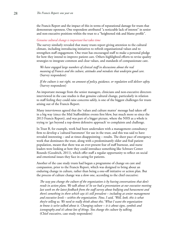the Francis Report and the impact of this in terms of reputational damage for trusts that demonstrate openness. One respondent attributed "a noticeable lack of interest" in senior and non-executive positions within the trust to a "heightened risk and blame profile".

#### *Genuine cultural change is important but takes time*

The survey similarly revealed that many trusts report giving attention to the cultural climate, including introducing initiatives to refresh organisational values and to strengthen staff engagement. One trust has encouraged staff to make a personal pledge for how they intend to improve patient care. Others highlighted efforts to revise quality strategies to integrate common and clear values, and standards of compassionate care.

 *We have engaged large numbers of clinical staff in discussions about the real meaning of Francis and the culture, attitudes and mindsets that underpin good care.*  (Survey respondent)

 *If the culture is not right, no amount of policy, guidance, or regulation will deliver safety.*  (Survey respondent)

An important message from the senior managers, clinicians and non-executive directors interviewed in the case studies is that genuine cultural change, particularly in relation to staff feeling they could raise concerns safely, is one of the biggest challenges for trusts arising out of the Francis Report.

Many interviewees agreed that the 'values and culture matter' message had taken off in a big way (since the Mid Staffordshire events first blew, but much more so since the 2013 Francis Report), and was part of a bigger picture, where the NHS as a whole is trying to 'get beyond a top-down defensive approach' to complaints and challenge.

In Trust B, for example, work had been undertaken with a management consultancy firm to develop a 'cultural barometer' for use in the trust, and this was said to have revealed interesting – and at times disappointing – results. The sheer pace of emergency work that dominates the trust, along with a predominantly older and frail patient population, meant that there was an ever-present fear of staff burnout, and nurse leaders were looking at how they could introduce something like Schwarz Center Rounds (Goodrich, 2011), which offer staff a regular opportunity to reflect on social and emotional issues they face in caring for patients.

Another of the case study trusts had begun a programme of change on care and compassion, prior to the Francis Report, which was designed to bring about an enduring change in culture, rather than being a one-off initiative or action plan. But the process of culture change was a slow one, according to the chief executive:

 *The way you change the culture of the organisation is by having conversations that don't result in action plans. We talk about it! So we had a presentation at our executive meeting last week on the latest feedback from the staff survey about bullying and harassment and there's something in there which says it's still prevalent – including at senior management and executive levels – within the organisation. Now, I said, 'Well, look, this is what they're telling us. We need to really think about this.' What I want the organisation to know is we've talked about it. Changing culture – it is about signs, symbols and iconography and it's about lots of things. You change the culture by talking.*  (Chief executive, case study respondent)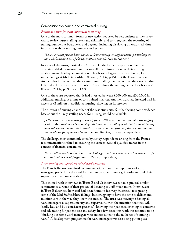## Compassionate, caring and committed nursing

#### *Francis as a lever for extra investment in nursing*

One of the most common forms of new action reported by respondents to the survey was to review nurse staffing levels and skill mix, and to strengthen the reporting of staffing numbers at board level and beyond, including displaying on wards real-time information about staffing numbers and grades.

 *Francis brought forward our agenda to look critically at staffing ratios, particularly in those challenging areas of elderly, complex care.* (Survey respondent)

In some of the trusts, particularly A, B and C, the Francis Report was described as having added momentum to previous efforts to invest more in their nursing establishment. Inadequate nursing staff levels were flagged as a contributory factor in the failings at Mid Staffordshire (Francis, 2013a, p.45), but the Francis Report stopped short of recommending a minimum staffing level, recommending instead that NICE develop evidence-based tools for 'establishing the staffing needs of each service' (Francis, 2013a, p.69, para 1.132).

One of the trusts reported that it had invested between £300,000 and £500,000 in additional nursing, at a time of constrained finances. Another trust had invested well in excess of £1 million in additional nursing, drawing on its reserves.

The director of nursing at another of the case study sites felt that having some evidence base about the likely staffing needs for nursing would be valuable:

 *[T]he work that is now being proposed, from a NICE perspective, around nurse staffing levels… And that's not about having minimum nurse staffing levels but it's about having some information to be able to clearly articulate, as a professional, the recommendations you would be giving to your board.* (Senior clinician, case study respondent)

The challenge most commonly cited by survey respondents arising from the Francis recommendations related to ensuring the correct levels of qualified nurses in the context of financial constraints.

 *Nurse staffing levels and skill mix is a challenge at a time when we need to achieve six per cent cost improvement programme…* (Survey respondent)

#### *Strengthening the supervisory role of ward managers*

The Francis Report contained recommendations about the importance of ward managers, particularly the need for them to be supernumerary, in order to fulfil their supervisory role more effectively.

This chimed with interviews in Trusts B and C: interviewees had expressed similar sentiments as a result of their process of listening to staff much more. Interviewees in Trust B described how staff had been found to feel very frustrated, recognising some of the Mid Staffordshire failings, but struggling to have the time to deliver and monitor care in the way they knew was needed. The trust was moving to having all ward managers as supernumerary and supervisory, with the intention that they will "really lead and be a consistent presence", knowing their patients, listening to concerns, and advocating for patient care and safety. In a few cases, this work was reported to be "flushing out some ward managers who are not suited to the resilience of running a ward". A development programme for ward managers was also being put in place.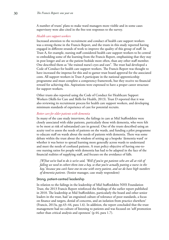A number of trusts' plans to make ward managers more visible and in some cases supervisory were also cited in the free text responses to the survey.

## *Health care support workers*

Increased attention to the recruitment and conduct of health care support workers was a strong theme in the Francis Report, and the trusts in this study reported having engaged in different strands of work to improve the quality of this group of staff. In Trust A, for example, nursing staff considered health care support workers to be central to embedding some of the learning from the Francis Report, emphasising that they stay in post longer and are at the patient bedside more often, than any other staff member. One described them as "the trained nurse's eyes and ears". The trust had developed a Code of Conduct for health care support workers. The Francis Report was thought to have increased the impetus for this and to garner trust board approval for the associated costs. All support workers in Trust A participate in the national apprenticeship programme and must complete a competency framework, but they receive no financial reward for achieving this. Aspirations were expressed to have a proper career structure for support workers.

Other trusts also reported using the Code of Conduct for Healthcare Support Workers (Skills for Care and Skills for Health, 2013). Trust D reported that it was also reviewing its recruitment process for health care support workers, and developing minimum standards of experience of care for potential recruits.

# *Better care for older patients with dementia*

In many of the case study interviews, the failings in care at Mid Staffordshire were closely associated with older patients, particularly those with dementia, who were felt to be most at risk of substandard care in general. One of the trusts described using an acuity tool to assess the needs of patients on the wards, and funding a pilot programme to educate staff on wards about the needs of patients with dementia. There was some debate within the trust about the wisdom of setting up a bespoke 'dementia ward' or whether it was better to spread learning more generally across wards to understand and meet the needs of confused patients. A trust policy objective of having one-toone nursing ratios for people with dementia has had to be adapted in the face of the financial realities of supplying staff, and focuses on the avoidance of falls.

 *[W]hat we've had to do is we've said, 'Well if you've got patients who are all at risk of falling we need to cohort them into a bay, so that you're actually putting a nurse in the bay,' because you can't have one-to-one with every patient, and we do have high numbers of dementia patients.* (Senior manager, case study respondent)

#### Strong, patient-centred leadership

In relation to the failings in the leadership of Mid Staffordshire NHS Foundation Trust, the 2013 Francis Report reinforced the findings of the earlier report published in 2010. The leadership at Mid Staffordshire, particularly the board and other senior leaders in the trust, had 'an engrained culture of tolerance of poor standards, a focus on finance and targets, denial of concerns, and an isolation from practice elsewhere' (Francis, 2013a, pp.43–44, para 1.6). In addition, the report concluded that the trust management had no culture of listening to patients and was focused on 'self promotion rather than critical analysis and openness' (p.44, para 1.7).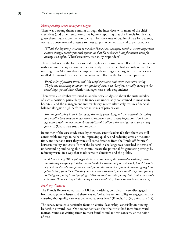#### *Valuing quality above money and targets*

There was a strong theme running through the interviews with many of the chief executives (and other senior executive figures) reporting that the Francis Inquiry had given them much more traction to champion the cause of quality of care for patients, over and above external pressure to meet targets, whether financial or performance.

 *[T]hat's the big thing it seems to me that Francis has changed, which is a very important culture change, which you can't ignore, in that I'd rather be hung for money than for quality and safety.* (Chief executive, case study respondent)

This confidence in the face of external, regulatory pressure was reflected in an interview with a senior manager in one of the case study trusts, which had recently received a warning from Monitor about compliance with waiting-time targets. The interviewee recalled the attitude of the chief executive as bullish in the face of such pressure:

 *There's a lot of pressure there, and [the chief executive] and other execs were saying, 'They're not criticising us about our quality of care, and therefore, actually, we've got the moral high ground here.* (Senior manager, case study respondent)

There were also doubts expressed in another case study site about the sustainability of such a position, particularly as finances are undeniably constrained in most acute hospitals, and the management and regulatory system ultimately requires financial balance alongside high performance in terms of patient care.

 *The one good thing Francis has done, the really good thing, is it has ensured that safety and quality have become much more prominent – that's really important. But I am left with a real concern about the do-ability of it all and the need for us to find a way forward.* (Chair, case study respondent)

In another of the case study sites, by contrast, senior leaders felt that there was still considerable mileage to be had in improving quality and reducing costs at the same time, and that as a trust they were still some distance from the "trade-off frontier" between quality and costs. Part of the leadership challenge was described in terms of understanding and being able to communicate the potential for generating savings by reducing waste, in a way that made sense to clinicians and the public.

 *So if I was to say, 'We've got to get 20 per cent cost out of this particular pathway', then immediately everyone gets defensive and looks for reasons why it can't work, but if I was to say, 'Let me describe this pathway', and you do the usual description of someone going from pillar to post, from the GP to diagnosis to other outpatients, to a cancelled op, and you say, 'Is that good quality?', and people go, 'Well no, that's terrible quality, but it's also incredibly expensive. We're wasting all the money on poor quality.'* (Chair, case study respondent)

## *Involving clinicians*

The Francis Report noted that in Mid Staffordshire, consultants were disengaged from management issues and there was no 'collective responsibility or engagement for ensuring that quality care was delivered at every level' (Francis, 2013a, p.44, para 1.8).

The survey revealed a particular focus on clinical leadership, especially on nursing leadership at ward level. One respondent said that their trust had introduced ward matron rounds at visiting times to meet families and address concerns at the point of care.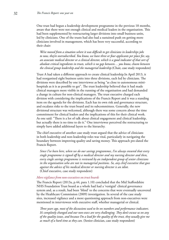One trust had begun a leadership development programme in the previous 18 months, aware that there were not enough clinical and medical leaders in the organisation. This had been supplemented by restructuring larger divisions into small business units, led by clinicians. One of the trusts had also had a sustained push on getting more clinicians involved in management, which has been very successful, according to their chair:

 *We've moved from a situation where it was difficult to get clinicians in leaderships jobs to now, they're oversubscribed. You know, we have three or four applicants per place for, say, an associate medical director or a clinical director, which is a good indicator of that sort of absolute critical ingredients in trusts, which is no gap between… you know, chasm between the clinical group leadership and the managerial leadership.*(Chair, case study respondent)

Trust A had taken a different approach to create clinical leadership.In April 2013, it had reorganised eight business units into three divisions, each led by clinicians. The divisions were described by one interviewee as being "as close to autonomous minihospitals as it is as possible to get". The trust leadership believed that it had made clinical managers more visible in the running of the organisation and had demanded a change in culture for non-clinical managers. The trust executive charged each division with considering the implications of the Francis Report and it was a standing item on the agenda for the divisions. Each has its own risk and governance structure, and escalates risks to the trust board and its subcommittees. Generally, the new divisional structure was welcomed, although there was some concern about the time commitment for clinical leaders and the implications of this for their clinical work. As one said: "There is a lot of talk about clinical engagement and clinical leadership, but actually there is no time to do it." One interviewee perceived the restructuring to simply have added additional layers to the hierarchy.

The chief executive of another case study trust argued that the advice of clinicians in both leadership and non-leadership roles was vital, particularly in navigating the boundary between improving quality and saving money. This approach pre-dated the Francis Report.

 *Since I've been here, when we do our savings programmes, I've always ensured that every single programme is signed off by a medical director and my nursing director and then, every single savings programme is reviewed by an independent group of senior clinicians in the organisation who are not in managerial positions. So, any chief executive that goes against the advice of his medical director or nursing director is an idiot.*  (Chief executive, case study respondent)

# *More vigilance from non-executives on trust boards*

The Francis Report (2013a, p.44, para 1.10) concluded that the Mid Staffordshire NHS Foundation Trust board as a whole had had a 'vestigial' clinical governance system and, as a result, had been 'blind' to the concerns that were eventually uncovered by the Healthcare Commission (2009) investigation. In several of the case study sites, increased vigilance and a more questioning approach from non-executives were mentioned in interviewees with executive staff, whether managerial or clinical.

 *Three years ago, most of the discussions used to be on numbers and performance indicators. It's completely changed and our non-execs are very challenging. They don't excuse us on any of the quality issues, and because I'm a lead for the quality of the trust, they usually give me as much of a hard time as they can.* (Senior clinician, case study respondent)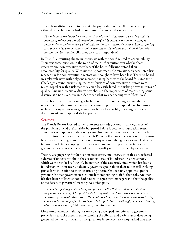This shift in attitude seems to pre-date the publication of the 2013 Francis Report, although some felt that it had become amplified since February 2013.

 *I've only sat at the board for a year but I would say it's increased, the anxiety and the amount of information that's needed and they're [the non-execs] almost wanting to manage down and have every bit of information that's available. And I think it's finding that balance between assurance and reassurance at the minute but I don't think we're unusual in that.* (Senior clinician, case study respondent)

In Trust A, a recurring theme in interviews with the board related to accountability. There was some question in the mind of the chief executive over whether both executive and non-executive members of the board fully understood their accountability for quality. Without the Appointments Commission, an accountability mechanism for non-executive directors was thought to have been lost. The trust board was relatively new, with only one member having been with the board for some time. Challenges around maximising the contributions of non-executive directors were raised, together with a risk that they could be easily lured into ticking boxes in terms of quality. One non-executive director emphasised the importance of maintaining some distance as a non-executive in order to see what was happening with "fresh eyes".

This echoed the national survey, which found that strengthening accountability was a theme underpinning many of the actions reported by respondents. Initiatives include making senior managers more visible and accessible, investing in leadership development, and improved staff appraisal.

#### *Governors*

The Francis Report focused some comments towards governors, although most of the problems at Mid Staffordshire happened before it became a foundation trust. Two thirds of responses to the survey came from foundation trusts. There was little evidence from the survey that the Francis Report will change the way foundation trust boards engage with governors, although many reported that governors are playing an important role in developing their trust's response to the report. Most felt that their governors have a good understanding of the quality of care provided by their trust.

Trust A was preparing for foundation trust status, and interviews at this site reflected a degree of uncertainty about the accountabilities of foundation trust governors, which were described as "vague". In another of the case study sites, which has been a foundation trust for nearly a decade, governors spoke about their role as still evolving, particularly in relation to their scrutinising of care. One recently appointed public governor felt that governors needed much more training to fulfil their role. Another felt that historically governors had tended to agree with managers and that the quality of the debate at governors' meetings was often poor.

 *I remember speaking to a couple of the governors after that workshop we had and they both were saying, 'Oh, gosh! I didn't really realise we have such a role to play in scrutinising the trust.' And I think the words 'holding the board to account' hadn't really entered into a lot of people's heads before, to be quite honest. Although, now, we're talking about it much more.* (Public governor, case study respondent)

More comprehensive training was now being developed and offered to governors, particularly to assist them in understanding the clinical and performance data being generated by the trust. Many of the governors interviewed also emphasised that they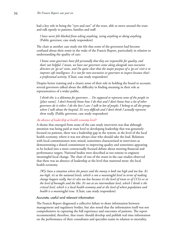had a key role in being the "eyes and ears" of the trust, able to move around the trust and talk openly to patients, families and staff.

 *I have never felt blocked from asking anything, seeing anything or doing anything.*  (Public governor, case study respondent)

The chair at another case study site felt that some of the governors had become confused about their remit in the wake of the Francis Report, particularly in relation to understanding the quality of care:

 *I know some governors have felt personally that they are responsible for quality, and that's not helpful. I mean, we have our governors come along alongside non-executive directors on 'go-see' visits, and I'm quite clear that the major purpose of a 'go-see' visit is to improve soft intelligence. It is not for non-executives or governors to inspect because that's a professional activity.* (Chair, case study respondent)

Despite better training and a clearer sense of their role in holding the board to account, several governors talked about the difficulty in finding meaning in their role as representatives of a wider public.

 *I think this is a dilemma for governors… I'm supposed to represent some of the people in [place name]. I don't honestly know how I do that and I don't know how a lot of other governors do it either. I do the best I can: I talk to lots of people; I belong to all the groups where I talk about the hospital. It's very difficult and I don't think I actually represent them really.* (Public governor, case study respondent)

# *An absence of leadership at health economy level?*

A theme that emerged from some of the case study interviews was that although attention was being paid at trust level to developing leadership that was genuinely focused on patients, there was a leadership gap in the system, at the level of the local health economy, where it was not always clear who should take the lead. Relations with local commissioners were mixed, sometimes characterised in interviews as demonstrating a shared commitment to improving quality and sometimes appearing to be locked into a more contractually focused debate about meeting financial and performance targets. National bodies were described as too remote to engineer meaningful local change. The chair of one of the trusts in the case studies observed that there was an absence of leadership at the level that mattered most: the local health economy.

 *[W]e have a situation where the power and the money is both too high and too low. It's too high, it's at the national levels, which is not a meaningful level in terms of making change happen really, but it's also too low because it's the level of trusts or of CCGs or at the level of boroughs and the like. It's not at an intermediate level, which I think is the critical level, which is a local health economy and at the level of where population and health is a meaningful issue.* (Chair, case study respondent)

#### Accurate, useful and relevant information

The Francis Report diagnosed a collective failure to share information between management and regulatory bodies, but also noted that the information itself was not comprehensive in capturing the full experience and outcomes of patients. The report recommended, therefore, that trusts 'should develop and publish real time information on the performance of their consultants and specialist teams in relation to mortality,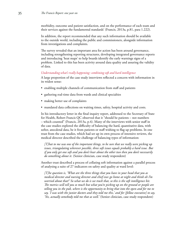morbidity, outcome and patient satisfaction, and on the performance of each team and their services against the fundamental standards' (Francis, 2013a, p.81, para 1.222).

In addition, the report recommended that any such information should be available to the outside world, including the public and commissioners, alongside information from investigations and complaints.

The survey revealed that an important area for action has been around governance, including strengthening reporting structures, developing integrated governance reports and introducing 'heat maps' to help boards identify the early warnings signs of a problem. Linked to this has been activity around data quality and assuring the validity of data.

## *Understanding what's really happening: combining soft and hard intelligence*

A large proportion of the case study interviews reflected a concern with information in its widest sense:

- enabling multiple channels of communication from staff and patients
- gathering real-time data from wards and clinical specialties
- making better use of complaints
- mandated data collections on waiting times, safety, hospital activity and costs.

In his introductory letter in the final inquiry report, addressed to the Secretary of State for Health, Robert Francis QC observed that it "should be patients – not numbers – which counted" (Francis, 2013a, p.4). Many of the interviews with senior staff in the case studies explored the difficulty of balancing the hard, quantitative data, with softer, anecdotal data, be it from patients or staff wishing to flag up problems. In one trust from the case studies, which had set up its own process of intensive reviews, the medical director described the challenge of balancing types of information:

 *[T]hat to me was one of the important things, to be sure that we really were picking up issues, triangulating wherever possible, three soft issues equals probably a hard issue. But if you only get one soft and you don't hear about the other two then you don't necessarily do something about it.* (Senior clinician, case study respondent)

Another trust described a process of collating soft information against a parallel process of analysing a suite of 27 indicators on safety and quality at ward level:

 *[T]he question is, 'What are the three things that you have in your head that you as medical director and nursing director and chief exec go home at night and think oh I'm worried about that?' So what we do is we track that, so this is the soft intelligence bit. The metrics will tell you so much but what you're picking up on the ground or people are telling you in the pub, where is the opportunity to bring that into the open and for me to say, 'I was with the junior doctors and they told me this,' and for [fellow executive] to say, 'Yes, actually somebody told me that as well.'* (Senior clinician, case study respondent)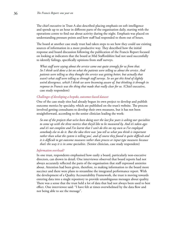The chief executive in Trust A also described placing emphasis on soft intelligence and spends up to an hour in different parts of the organisation daily, starting with the operations centre to find out about activity during the night. Emphasis was placed on understanding pressure points and how staff had responded to them out of hours.

The board at another case study trust had taken steps to see how they could use existing sources of information in a more productive way. They described how the initial response and board discussion following the publication of the Francis Report focused on looking at indicators that the board at Mid Staffordshire had not used successfully to identify failings, specifically opinions from staff surveys.

 *What staff were saying about the service came out quite strongly for us from that. So I think we'd done a lot on what the patients were telling us about the service. And patients were telling us they thought the service was getting better, but actually that wasn't what staff were telling us through staff surveys. So we got this kind of slightly weird divergence, which I think we were becoming aware of, but thinking it through in response to Francis was the thing that made that really clear for us.* (Chief executive, case study respondent)

#### *Challenges of developing a bespoke, outcomes-based dataset*

One of the case study sites had already begun its own project to develop and publish outcome metrics by specialty, which are published on the trust's website. The process involved getting consultants to develop their own measures, but it has not been straightforward, according to the senior clinician leading the work:

 *So one of the projects that we've been doing over the last few years is asking our specialties to come up with the three metrics that they'd like to be measured by. And it's taken ages and it's not complete and I've learnt that I can't do this on my own so I've employed somebody else to do it. But the idea there was 'you tell us what you think is important rather than what the system is telling you', and of course they found it quite difficult and it is difficult to get outcome measures rather than process or input type measures because that's the way it is in some specialties.* (Senior clinician, case study respondent)

#### *Information overload?*

In one trust, respondents emphasised how easily a board, particularly non-executive directors, can drown in detail. One interviewee observed that board reports had not always accurately reflected the parts of the organisation that staff expressed anxieties about. Attention had been given, therefore, to making information to the board more succinct and there were plans to streamline the integrated performance report. With the development of a Quality Accountability Framework, the trust is moving towards entering data into a single repository to provide unambiguous messages about quality. There was a sense that the trust held a lot of data that had not always been used to best effect. One interviewee said: "I have felt at times overwhelmed by the data flow and not being able to see the message".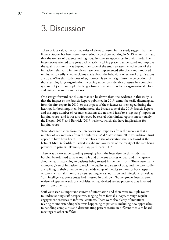# 3. Discussion

Taken at face value, the vast majority of views captured in this study suggest that the Francis Report has been taken very seriously by those working in NHS acute trusts and that the welfare of patients and high-quality care are uppermost in their minds. The interviewees referred to a great deal of activity taking place to understand and improve the quality of care. It was beyond the scope of the study to assess whether any of the initiatives referred to in interviews have been implemented effectively and produced results, or to verify whether claims made about the behaviour of external organisations are true. What this study does offer, however, is some insight into the perceptions of those running large organisations, working under considerable pressure in a complex system, subject to multiple challenges from constrained budgets, organisational reform and rising demand from patients.

One straightforward conclusion that can be drawn from the evidence in this study is that the impact of the Francis Report published in 2013 cannot be easily disentangled from the first report in 2010, or the impact of the evidence as it emerged during the hearings for both inquiries. Furthermore, the broad scope of the 2013 Francis Report and the large number of recommendations did not lend itself to a 'big bang' impact on hospital trusts, and it was also followed by several other linked reports, most notably the Keogh (2013) and Berwick (2013) reviews, which also have implications for hospital trusts.

What does seem clear from the interviews and responses from the survey is that a number of key messages from the failures at Mid Staffordshire NHS Foundation Trust appear to have been heard. The first relates to the observation that the board at the helm of Mid Staffordshire 'lacked insight and awareness of the reality of the care being provided to patients' (Francis, 2013a, p.64, para 1.114).

There was a clear understanding emerging from the interviews in this study that hospital boards need to have multiple and different sources of data and intelligence about what is happening to patients being treated inside their trusts. There were many examples given of initiatives to track the quality and safety of care, and the case studies are striking in their attempts to use a wide range of metrics to monitor basic aspects of care, such as falls, pressure ulcers, staffing levels, nutrition and infections, as well as 'soft' intelligence. Some trusts had invested in their own 'home-grown' internal peer reviews of specific wards or specialties, or had devised review processes that involved peers from other trusts.

Staff were seen as important sources of information and there were multiple routes to understanding staff perspectives, ranging from formal surveys, through regular engagement exercises to informal contacts. There were also plenty of initiatives relating to understanding what was happening to patients, including new approaches to handling complaints and disseminating patient stories in different media to board meetings or other staff fora.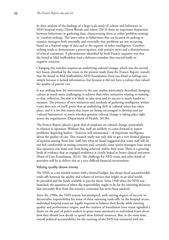In their analysis of the findings of a large-scale study of culture and behaviour in NHS hospital trusts, Dixon Woods and others (2013) draw an important distinction between behaviours in gathering data, characterising them as either 'problem-sensing' or 'comfort-seeking'. The latter refers to behaviours that are focused on seeking to reassure managers both internally and externally that problems are not occurring, based on a limited range of data and at the expense of softer intelligence. Comfortseeking tends to demonstrate a preoccupation with positive news and a dismissiveness of critical comments. A phenomenon identified by both Francis inquiries was that the board at Mid Staffordshire had a defensive mindset that reacted badly to negative criticism.

Changing this mindset requires an underlying cultural change, which was the second key lesson absorbed by the trusts in the present study from the Francis Report: namely that the board in Mid Staffordshire NHS Foundation Trust was blind to failings not simply because it lacked information, but because it did not have a culture that valued the quality of patient care.

It was striking how the interviewees in the case studies particularly described changing culture as much more challenging to achieve than other initiatives relating to training or data collection, because it is likely to take time and its success is much harder to measure. The presence of new initiatives and methods of gathering intelligence within trusts does not, of itself, prove that an underlying shift in cultural values has taken place, and it is for this reason that trusts are being encouraged to develop and use 'cultural barometers' to assess whether genuine cultural change is taking place right across the organisation (Department of Health, 2013b).

The Francis Report placed a great deal of emphasis on cultural change, particularly in relation to openness. Without this, staff are unlikely to come forward to report problems, depriving leaders – however well intentioned – of important intelligence about the quality of care. This research study was only able to get a very limited glimpse of opinion among 'front-line' staff, but what we heard suggested that some staff still do not feel comfortable in raising concerns and, certainly, some senior managers were aware that openness was some way from being achieved within their trust. There is a growing body of evidence that an engaged workforce is closely linked to better clinical outcomes (Point of Care Foundation, 2014). The challenge for NHS trusts and other kinds of providers will be to deliver this in a very difficult financial environment.

#### Valuing quality above money

The NHS, as a tax-funded system with a limited budget, has always faced uncomfortable trade-offs between the quality and volume of services that might, in an ideal world, be provided and the funds available to pay for them. Since 1948 when the NHS was launched, the question of where the responsibility ought to lie for the rationing decisions that inevitably flow from this resource constraint has never been resolved.

Since the 1990s, the NHS system has attempted, with varying degrees of success, to decentralise responsibility for some of these rationing trade-offs. In the hospital sector, individual hospital trusts are legally required to balance their books while meeting quality and performance targets, and the creation of foundation trust status signalled a desire on the part of policy-makers to grant some autonomy to individual trusts about how they should best decide to spend these limited resources. But, at the same time, overall political accountability for the running of the NHS has remained with the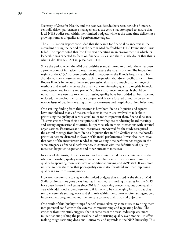Secretary of State for Health, and the past two decades have seen periods of intense, centrally driven performance management as the centre has attempted to ensure that local NHS bodies stay within their limited budgets, while at the same time delivering a growing number of quality and performance targets.

The 2013 Francis Report concluded that the search for financial balance was in the ascendant during the period that the care at Mid Staffordshire NHS Foundation Trust failed. The report noted that 'the Trust was operating in an environment in which its leadership was expected to focus on financial issues, and there is little doubt that this is what it did' (Francis, 2013a, p.45, para 1.11).

Since the period when the Mid Staffordshire scandal started to unfold, there has been a proliferation of initiatives to measure and assure the quality of care. The inspection regime of the CQC has been overhauled in response to the Francis Inquiry, and has abandoned the self-assessment approach to regulation that drew specific criticism from Robert Francis in favour of increased professionalism and a much broader range of methods and metrics to assess the quality of care. Assessing quality alongside financial competence now forms a key part of Monitor's assurance processes. It should be noted that these new approaches to assessing quality have been added to, but have not replaced, the previous performance targets, which were focused primarily on some narrow issue of quality – waiting times for treatment and hospital-acquired infections.

One striking finding from this research is how both Francis Inquiries and reports have emboldened many of the senior leaders in the trusts involved to talk about prioritising the quality of care as equal to, or more important than, financial balance. This was evident from their descriptions of how they are conducting board meetings and setting organisational priorities, but particularly in their interactions with external organisations. Executives and non-executives interviewed for the study recognised the central message from both Francis Inquiries that in Mid Staffordshire, the board's priorities became distorted in favour of financial performance. It was also instructive that some of the interviewees tended to put waiting-time performance targets in the same category as financial performance, in contrast with the definitions of quality measured by patient experience and other outcomes measures.

In some of the trusts, this appears to have been interpreted by some interviewees that, wherever possible, 'quality trumps finance' and has resulted in decisions to improve quality by spending more resources on additional nursing and A&E staff. It was more unusual to hear the view that poor-quality care is itself wasteful and that improving quality is a route to saving money.

However, the pressure to stay within limited budgets that existed at the time of Mid Staffordshire has not gone away but has intensified, as funding increases for the NHS have been frozen in real terms since 2011/12. Resolving concerns about poor-quality care with additional expenditure on staff is likely to be challenging for trusts, as they try to ensure safe staffing levels and skill mix within the context of often stringent cost improvement programmes and the pressure to meet their financial objectives.

One result of this 'quality trumps finance' stance taken by some trusts is to bring them into potential conflict with the external commissioning and regulating bodies. The evidence from this study suggests that in some cases the trust leadership was more militant about pushing the political pain of prioritising quality over money – in effect making tough rationing decisions – outwards and upwards in the NHS hierarchy. This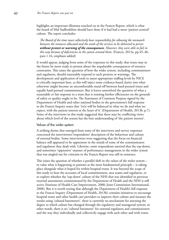highlights an important dilemma touched on in the Francis Report, which is what the board of Mid Staffordshire should have done if it had had a more 'patient-centred' culture. The report concludes:

 *The Board of the time must collectively bear responsibility for allowing the mismatch between the resources allocated and the needs of the services to be delivered to persist without protest or warning of the consequences. However, they were able to fail in this way because of deficiencies in the system around them.* (Francis, 2013a, pp.45–46, para 1.16, emphasis added)

It would appear, judging from some of the responses in this study, that trusts may in the future be more ready to protest about the unpalatable consequences of resource constraints. This raises the question of how the wider system, including commissioners and regulators, should reasonably respond to such protests or warnings. The development and application of tools to assess appropriate staffing levels by NICE is critically important here, as this will inject some evidence-based clarity into what otherwise might become an uncomfortable stand-off between hard-pressed trusts and equally hard-pressed commissioners. But it leaves unresolved the question of what a reasonable or fair response to a trust that is resisting further efficiencies on the grounds of safety or quality ought to be. The Statement of Common Purpose signed by the Department of Health and other national bodies in the government's full response to the Francis Inquiry states that '[w]e will be balanced in what we do and what we expect, with the patient interest at the heart of it' (Department of Health, 2013b, p.7). Some of the interviews in this study suggested that there may be conflicting views about which level of the system has the best understanding of 'the patient interest'.

# Values of the wider system

A striking theme that emerged from some of the interviews and survey responses concerned the interviewees'/respondents' description of the behaviour and culture of external bodies. Some interviewees were suggesting that the focus on financial balance still appeared to be uppermost in the minds of some of the commissioners and regulators they dealt with. Likewise, some respondents asserted that the top-down, and sometimes 'oppressive' manner of performance management in the wider system that was singled out for criticism in the Francis Report was still in existence.

This raises the question of whether a parallel shift in the values of the wider system – to value what is happening to patients as the most fundamental principle – is taking place alongside what is hoped for within hospital trusts. It was beyond the scope of this study to hear the accounts of local commissioners, area teams and regulators, or to explore whether the 'top-down' culture of the NHS that was identified in previous external assessments commissioned by the Department of Health and the NHS is still active (Institute of Health Care Improvement, 2008; Joint Commission International, 2008). But it is worth noting that although the Department of Health's full response to the Francis Inquiry (Department of Health, 2013b) contains initiatives to encourage hospital trusts and other health care providers to improve their culture and measure the results using 'cultural barometers', there is currently no mechanism for assessing the degree to which culture has changed through the regulatory and managerial system; in other words, there is no 'cultural barometer' for external regulators and commissioners and the way they individually and collectively engage with each other and with trusts.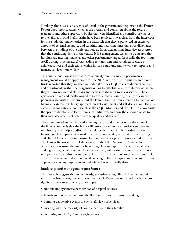Similarly, there is also an absence of detail in the government's response to the Francis Report about how to assess whether the overlap and confusion about the roles of regulators and other supervisory bodies that were identified as a contributory factor to the failures in Mid Staffordshire have been resolved. It was clear from the interviews for this study that many leaders in the trusts felt that they experienced an excessive amount of external assurance and scrutiny, and that sometimes there was dissonance between the findings of the different bodies. In particular, some interviewees asserted that the continuing desire of the central NHS management system to be assured that hospitals are meeting financial and other performance targets (especially the four-hour A&E waiting-time measure) was leading to significant and sustained pressure on chief executives and their teams, which in turn could undermine work to improve and manage services more widely.

This raises a question as to what form of quality monitoring and performance management would be appropriate for the NHS in the future. In this research, some trusts reported that they are keen to undertake mock CQC visits of different wards and departments within their organisation, or to establish local 'Keogh reviews' where they will invite external clinicians and peers into the trust to assess services. These grassroots-driven and locally owned initiatives aimed at assuring quality of care were popular with trusts in this study, but the Francis Inquiry drew attention to the risks of basing an external regulatory approach on self-assessment and self-declaration. There is a challenge for national bodies such as the CQC, Monitor and the TDA to allow trusts the space to develop and learn from such initiatives, and how these should relate to their own assessments of organisational quality and safety.

The more immediate risk in relation to regulation and supervision in the wake of the Francis Report is that the NHS will resort to even more extensive assurance and monitoring by multiple bodies. This would be detrimental if it crowded out the internal service improvement work that trusts are carrying out, and distract managers and clinical leaders from supporting local service development priorities and initiatives. The Francis Report warned of the scourge of the NHS 'action plan', where local organisations reassure themselves by writing plans in response to external challenge and regulation, yet all too often lack the resource, will or time to put intended actions into practice. From this research, it is clear that trusts continue to experience multiple external assessments and reviews, while seeking to have the space and time to foster an approach to quality improvement and safety that is internally driven.

#### Leadership and management post-Francis

This research suggests that many boards, executive teams, clinical directorates and wards have been taking the lessons of the Francis Report seriously and this has led to significant new areas of work, for example:

- undertaking systematic peer reviews of hospital services
- boards and executives 'walking the floor' much more extensively and regularly
- running deliberative events to elicit staff views of services
- meeting with the majority of complainants and their families
- mounting mock CQC and Keogh reviews.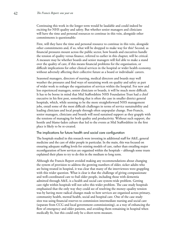Continuing this work in the longer term would be laudable and could indeed be exciting for NHS quality and safety. But whether senior managers and clinicians will have the time and personal resources to continue in this vein, alongside other commitments is questionable:

First, will they have the time and personal resource to continue in this vein, alongside other commitments and, if so, what will be dropped to make way for this? Second, as financial pressures mount across the public sector, how boards and executives handle the tension of quality versus finance, referred to earlier in this chapter, will be critical. A measure may be whether boards and senior managers will feel able to make a stand over the quality of care, if this means financial problems for the organisation, or difficult implications for other clinical services in the hospital or wider health economy, without adversely affecting their collective future as a board or individuals' careers.

Seasoned managers, directors of nursing, medical directors and boards may well weather the pressures and find ways of sustaining work on quality and safety as part of wider work to reshape the organisation of services within the hospital. For new and less experienced managers, senior clinicians or boards, it will be much more difficult. It has to be borne in mind that Mid Staffordshire NHS Foundation Trust had a chief executive in his first post, something that is often the case in smaller district general hospitals, which, while seeming to be the more straightforward NHS management jobs, entail some of the most difficult challenges in terms of service sustainability and leading clinicians and local people through often unpopular change. Post-Francis, senior managers, clinicians and boards will need sustained support as they grapple with the tensions of managing for both quality and productivity. Without such support, the hostile and blame-laden culture that led to the events at Mid Staffordshire in the first place is likely to be re-created.

# The implications for future health and social care configuration

The hospitals studied in this research were investing in additional staff for A&E, general medicine and the care of older people in particular. In the main, this was focused on ensuring adequate staffing levels for existing models of care, rather than entailing major reconfiguration of how services are organised within the hospitals – although some trusts explained their plans to try to do this in the medium to long term.

Although the Francis Report avoided making any recommendations about changing the system of provision to address the growing numbers of older, sicker adults who are being treated in hospital, it was clear that many of the interviewees were grappling with this wider question. What is clear is that the challenge of giving compassionate and well-coordinated care to frail older people, including those with dementia admitted through A&E, is a health and social care system-wide problem. Getting care right within hospitals will not solve this wider problem. The case study hospitals emphasised that the only way they could see of resolving the money–quality tension was by having more radical changes made to how services are organised across primary, community health, mental health, social and hospital care. One of the case study sites was using financial reserves to commission intermediate nursing and social care (separate from CCG and local government commissioning), as a way of enhancing the flow of emergency and older patients, and avoiding them remaining in hospital when medically fit, but this could only be a short-term measure.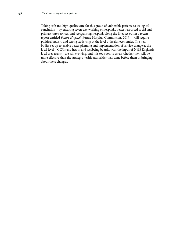Taking safe and high-quality care for this group of vulnerable patients to its logical conclusion – by ensuring seven-day working of hospitals, better-resourced social and primary care services, and reorganising hospitals along the lines set out in a recent report entitled *Future Hospital* (Future Hospital Commission, 2013) – will require political bravery and strong leadership at the level of health economies. The new bodies set up to enable better planning and implementation of service change at the local level – CCGs and health and wellbeing boards, with the input of NHS England's local area teams – are still evolving, and it is too soon to assess whether they will be more effective than the strategic health authorities that came before them in bringing about these changes.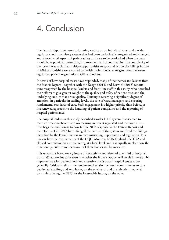# 4. Conclusion

The Francis Report delivered a damning verdict on an individual trust and a wider regulatory and supervisory system that had been periodically reorganised and changed, and allowed vital aspects of patient safety and care to be overlooked when the trust should have provided protection, improvement and accountability. The complexity of the system was such that multiple opportunities to spot and act on the failings in care in Mid Staffordshire were missed by health professionals, managers, commissioners, regulators, patient organisations, GPs and others.

In terms of how hospital trusts have responded, many of the themes and lessons from the Francis Report – together with the Keogh (2013) and Berwick (2013) reports – were recognised by the hospital leaders and front-line staff in this study, who described their efforts to give greater weight to the quality and safety of patient care, and the underlying culture that drives quality. Nursing is receiving a significant degree of attention, in particular in staffing levels, the role of ward managers, and ensuring fundamental standards of care. Staff engagement is a higher priority than before, as is a renewed approach to the handling of patient complaints and the reporting of hospital performance.

The hospital leaders in this study described a wider NHS system that seemed to them at times incoherent and overbearing in how it regulated and managed trusts. This begs the question as to how far the NHS response to the Francis Report and the reforms of 2012/13 have changed the culture of the system and fixed the failings identified by the Francis Report in commissioning, supervision and regulation. It is unclear how the requirements of the CQC, Monitor, NHS England, the TDA and clinical commissioners are interacting at a local level, and it is equally unclear how the functioning, culture and behaviour of these bodies will be measured.

This research is based on a glimpse of the activity and views of one third of hospital trusts. What remains to be seen is whether the Francis Report will result in measurably improved care for patients and how extensive this is across hospital trusts more generally. Critical to this is the fundamental tension between commitments to care quality, safe staffing and zero harm, on the one hand, and the relentless financial constraints facing the NHS for the foreseeable future, on the other.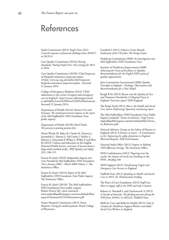# References

Audit Commission (2013) *Tough Times 2013: Councils' responses to financial challenges from 2010/11 to 2013/14.* 

Care Quality Commission (2013a) *Raising Standards, Putting People First: Our strategy for 2013 to 2016.* 

Care Quality Commission (2013b) 'Chief Inspector of Hospitals announces inspection plans', 18 July. www.cqc.org.uk/media/chief-inspector[hospitals-announces-inspection-plans . Accessed](http://www.cqc.org.uk/media/chief-inspector-hospitals-announces-inspection-plans)  21 January 2014.

College of Emergency Medicine (2013) 'CEM submission to the review of urgent and emergency care in England'. http://secure.collemergencymed. [ac.uk/Public/Latest%20News/CEM%20Statements .](http://secure.collemergencymed.ac.uk/Public/Latest%20News/CEM%20Statements)  Accessed 21 January 2014.

Department of Health (2013a) *Patients First and Foremost: The initial government response to the report of the Mid Staffordshire NHS Foundation Trust public inquiry*.

Department of Health (2013b) *Hard Truths: The journey to putting patients first.*

Dixon Woods M, Baker R, Charles K, Dawson J, Jerzembek G, Martin G, McCarthy I, McKee L, Minion J, Ozieranski P, Willars J, Wilkie P and West M (2014) 'Culture and behaviour in the English National Health Service: overview of lessons from a large multi-method study', *BMJ Quality and Safety* 23:2, 106-115.

Francis R (chair) (2010) *Independent Inquiry into Care Provided by Mid Staffordshire NHS Foundation Trust: January 2005 – March 2009: Volume 1.* The Stationery Office.

Francis R (chair) (2013a) *Report of the Mid Staffordshire NHS Foundation Trust Public Inquiry.* The Stationery Office.

Francis R (chair) (2013b) 'The Mid Staffordshire NHS Foundation Trust public inquiry: Robert Francis QC: press statement'. [www.midstaffspublicinquiry.com/sites/default/files/](http://www.midstaffspublicinquiry.com/sites/default/files/report/Chairman%27s%20statement.pdf) report/Chairman%27s%20statement.pdf

Future Hospital Commission (2013) *Future Hospital: Caring for medical patients.* Royal College of Physicians.

Goodrich J (2011) *Schwarz Center Rounds: Evaluation of the UK pilots.* The King's Fund.

Healthcare Commission (2009) *An Investigation into Mid Staffordshire NHS Foundation Trust.* 

Institute of Healthcare Improvement (2008) *Achieving the Vision of Excellence in Quality: Recommendations for the English NHS system of quality improvement.* 

Joint Commission International (2008) *Quality Oversight in England – Findings, Observations and Recommendations for a New Model.* 

Keogh B Sir (2013) *Review into the Quality of Care and Treatment Provided by 14 Hospital Trusts in England: Overview report.* NHS England.

The King's Fund (2013) *How is the Health and Social Care System Performing? Quarterly monitoring report.* 

The Mid Staffordshire NHS Foundation Trust Public Inquiry (undated) 'Terms of reference'. http://www. [midstaffspublicinquiry.com/sites/default/files/Terms\\_](http://www.midstaffspublicinquiry.com/sites/default/files/Terms_of_Reference.pdf) of\_Reference.pdf .

National Advisory Group on the Safety of Patients in England (2013) *A Promise to Learn – A Commitment to Act: Improving the safety of patients in England* (Berwick Report). HM Government.

National Audit Office (2012) *Progress in Making NHS Efficiency Savings.* The Stationery Office.

NHS Confederation (2012) 'Papering over the cracks: the impact of social care funding on the NHS', *Briefing 248.* 

NHS England (2013) *Transforming Urgent and Emergency Care Services in England.* 

Nuffield Trust (2013) *Spending on Health and Social Care to 2015–16. Parliamentary briefing*.

The Point of Care Foundation (2014) *Staff Care. How to engage staff in the NHS and why it matters.* 

Roberts A, Marshall L and Charlesworth A (2012) *A Decade of Austerity: The funding pressures facing the NHS from 2010/11 to 2021/22.* Nuffield Trust.

Skills for Care and Skills for Health (2013) *Code of Conduct for Healthcare Support Workers and Adult Social Care Workers in England.*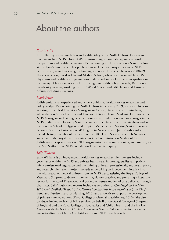# About the authors

#### *Ruth Thorlby*

Ruth Thorlby is a Senior Fellow in Health Policy at the Nuffield Trust. Her research interests include NHS reform, GP commissioning, accountability, international comparisons and health inequalities. Before joining the Trust she was a Senior Fellow at The King's Fund, where her publications included two major reviews of NHS performance, as well as a range of briefing and research papers. She was a 2008–09 Harkness Fellow, based at Harvard Medical School, where she researched how US physicians and health care organisations understood and tackled racial inequalities in the quality of health services. Before moving into health policy research, Ruth was a broadcast journalist, working for BBC World Service and BBC News and Current Affairs, including *Panorama*.

#### *Judith Smith*

Judith Smith is an experienced and widely published health services researcher and policy analyst. Before joining the Nuffield Trust in February 2009, she spent 14 years working at the Health Services Management Centre, University of Birmingham, where she was Senior Lecturer and Director of Research and Academic Director of the NHS Management Training Scheme. Prior to that, Judith was a senior manager in the NHS. Judith is an Honorary Senior Lecturer at the University of Birmingham and at the London School of Hygiene and Tropical Medicine, and Visiting Senior Research Fellow at Victoria University of Wellington in New Zealand. Judith's other roles include being a member of the board of the UK Health Services Research Network and chair of the Royal Pharmaceutical Society Commission on Models of Care. Judith was an expert adviser on NHS organisation and commissioning, and assessor, to the Mid Staffordshire NHS Foundation Trust Public Inquiry.

#### *Sally Williams*

Sally Williams is an independent health services researcher. Her interests include governance within the NHS and private health care, improving quality and patient safety, professional regulation and the training of health professionals, and health policy and research. Her recent projects include undertaking an independent inquiry into the withdrawal of medical trainees from an NHS trust, assisting the Royal College of Veterinary Surgeons to demonstrate best regulatory practice, and preparing a literature review for the Royal Pharmaceutical Society on future models of care delivered through pharmacy. Sally's published reports include as co-author of *Can Hospitals Do More With Less?* (Nuffield Trust, 2012), *Putting Quality First in the Boardroom* (The King's Fund and Burdett Trust for Nursing, 2010) and a toolkit to support the development of primary care federations (Royal College of General Practitioners, 2010). She also conducts invited reviews of NHS services on behalf of the Royal College of Surgeons of England and the Royal College of Paediatrics and Child Health, and she is a Lay Assessor with the National Clinical Assessment Service. Sally was previously a nonexecutive director of NHS Cambridgeshire and NHS Peterborough.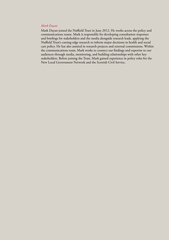# *Mark Dayan*

Mark Dayan joined the Nuffield Trust in June 2012. He works across the policy and communications teams. Mark is responsible for developing consultation responses and briefings for stakeholders and the media alongside research leads, applying the Nuffield Trust's cutting-edge research to inform major decisions in health and social care policy. He has also assisted in research projects and external commissions. Within the communications team, Mark works to connect our findings and expertise to our audiences through media, monitoring, and building relationships with other key stakeholders. Before joining the Trust, Mark gained experience in policy roles for the New Local Government Network and the Scottish Civil Service.